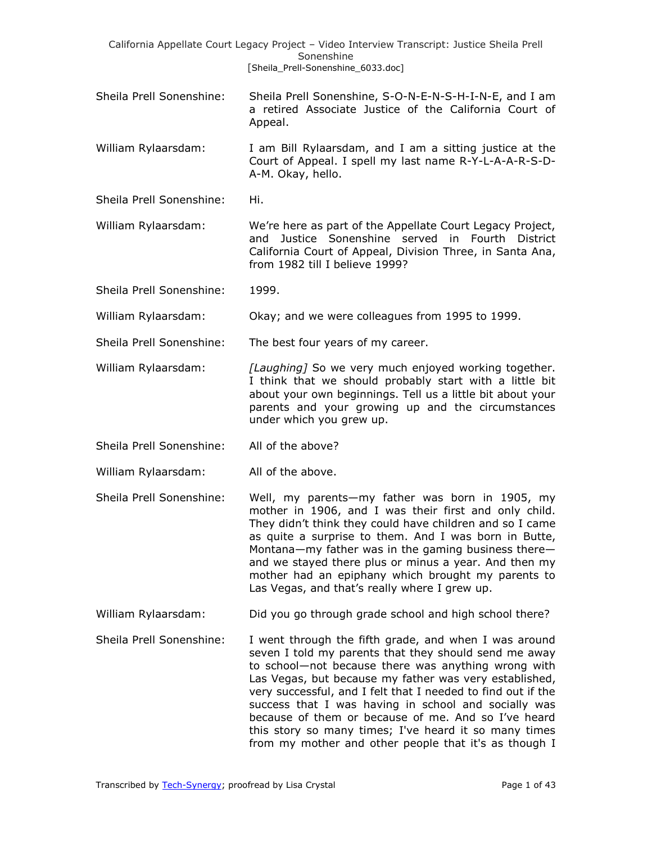|                          | California Appellate Court Legacy Project - Video Interview Transcript: Justice Sheila Prell<br>Sonenshine<br>[Sheila_Prell-Sonenshine_6033.doc]                                                                                                                                                                                                                                                                                                                                                                                 |
|--------------------------|----------------------------------------------------------------------------------------------------------------------------------------------------------------------------------------------------------------------------------------------------------------------------------------------------------------------------------------------------------------------------------------------------------------------------------------------------------------------------------------------------------------------------------|
| Sheila Prell Sonenshine: | Sheila Prell Sonenshine, S-O-N-E-N-S-H-I-N-E, and I am<br>a retired Associate Justice of the California Court of<br>Appeal.                                                                                                                                                                                                                                                                                                                                                                                                      |
| William Rylaarsdam:      | I am Bill Rylaarsdam, and I am a sitting justice at the<br>Court of Appeal. I spell my last name R-Y-L-A-A-R-S-D-<br>A-M. Okay, hello.                                                                                                                                                                                                                                                                                                                                                                                           |
| Sheila Prell Sonenshine: | Hi.                                                                                                                                                                                                                                                                                                                                                                                                                                                                                                                              |
| William Rylaarsdam:      | We're here as part of the Appellate Court Legacy Project,<br>and Justice Sonenshine served in Fourth District<br>California Court of Appeal, Division Three, in Santa Ana,<br>from 1982 till I believe 1999?                                                                                                                                                                                                                                                                                                                     |
| Sheila Prell Sonenshine: | 1999.                                                                                                                                                                                                                                                                                                                                                                                                                                                                                                                            |
| William Rylaarsdam:      | Okay; and we were colleagues from 1995 to 1999.                                                                                                                                                                                                                                                                                                                                                                                                                                                                                  |
| Sheila Prell Sonenshine: | The best four years of my career.                                                                                                                                                                                                                                                                                                                                                                                                                                                                                                |
| William Rylaarsdam:      | [Laughing] So we very much enjoyed working together.<br>I think that we should probably start with a little bit<br>about your own beginnings. Tell us a little bit about your<br>parents and your growing up and the circumstances<br>under which you grew up.                                                                                                                                                                                                                                                                   |
| Sheila Prell Sonenshine: | All of the above?                                                                                                                                                                                                                                                                                                                                                                                                                                                                                                                |
| William Rylaarsdam:      | All of the above.                                                                                                                                                                                                                                                                                                                                                                                                                                                                                                                |
| Sheila Prell Sonenshine: | Well, my parents-my father was born in 1905, my<br>mother in 1906, and I was their first and only child.<br>They didn't think they could have children and so I came<br>as quite a surprise to them. And I was born in Butte,<br>Montana-my father was in the gaming business there-<br>and we stayed there plus or minus a year. And then my<br>mother had an epiphany which brought my parents to<br>Las Vegas, and that's really where I grew up.                                                                             |
| William Rylaarsdam:      | Did you go through grade school and high school there?                                                                                                                                                                                                                                                                                                                                                                                                                                                                           |
| Sheila Prell Sonenshine: | I went through the fifth grade, and when I was around<br>seven I told my parents that they should send me away<br>to school-not because there was anything wrong with<br>Las Vegas, but because my father was very established,<br>very successful, and I felt that I needed to find out if the<br>success that I was having in school and socially was<br>because of them or because of me. And so I've heard<br>this story so many times; I've heard it so many times<br>from my mother and other people that it's as though I |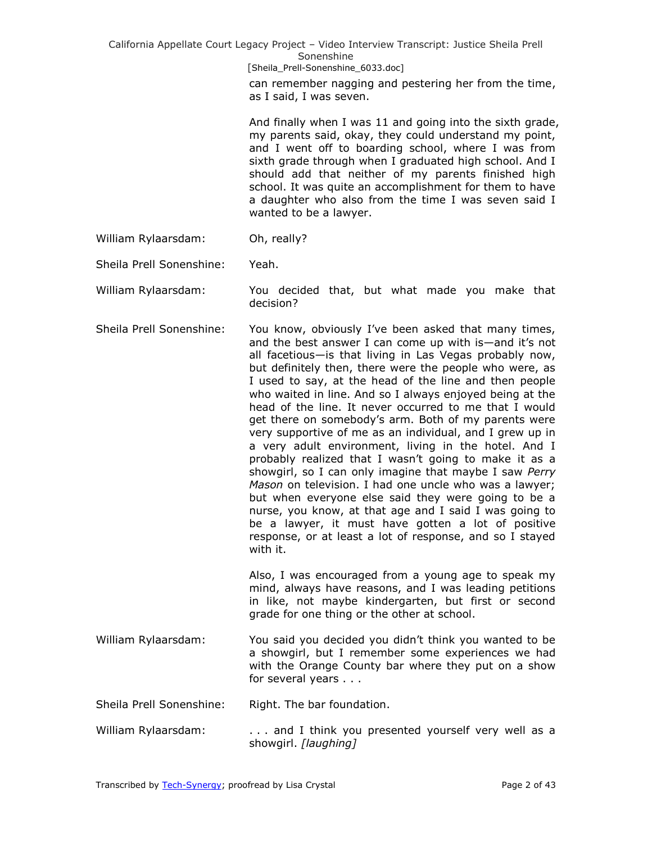California Appellate Court Legacy Project – Video Interview Transcript: Justice Sheila Prell Sonenshine [Sheila\_Prell-Sonenshine\_6033.doc] can remember nagging and pestering her from the time, as I said, I was seven. And finally when I was 11 and going into the sixth grade, my parents said, okay, they could understand my point, and I went off to boarding school, where I was from sixth grade through when I graduated high school. And I should add that neither of my parents finished high school. It was quite an accomplishment for them to have a daughter who also from the time I was seven said I wanted to be a lawyer. William Rylaarsdam: Oh, really? Sheila Prell Sonenshine: Yeah. William Rylaarsdam: You decided that, but what made you make that decision? Sheila Prell Sonenshine: You know, obviously I've been asked that many times, and the best answer I can come up with is—and it's not all facetious—is that living in Las Vegas probably now, but definitely then, there were the people who were, as I used to say, at the head of the line and then people who waited in line. And so I always enjoyed being at the head of the line. It never occurred to me that I would get there on somebody's arm. Both of my parents were very supportive of me as an individual, and I grew up in a very adult environment, living in the hotel. And I probably realized that I wasn't going to make it as a showgirl, so I can only imagine that maybe I saw *Perry Mason* on television. I had one uncle who was a lawyer; but when everyone else said they were going to be a nurse, you know, at that age and I said I was going to be a lawyer, it must have gotten a lot of positive response, or at least a lot of response, and so I stayed with it. Also, I was encouraged from a young age to speak my mind, always have reasons, and I was leading petitions in like, not maybe kindergarten, but first or second grade for one thing or the other at school. William Rylaarsdam: You said you decided you didn't think you wanted to be a showgirl, but I remember some experiences we had with the Orange County bar where they put on a show for several years . . . Sheila Prell Sonenshine: Right. The bar foundation. William Rylaarsdam: . . . . . . . and I think you presented yourself very well as a showgirl. *[laughing]*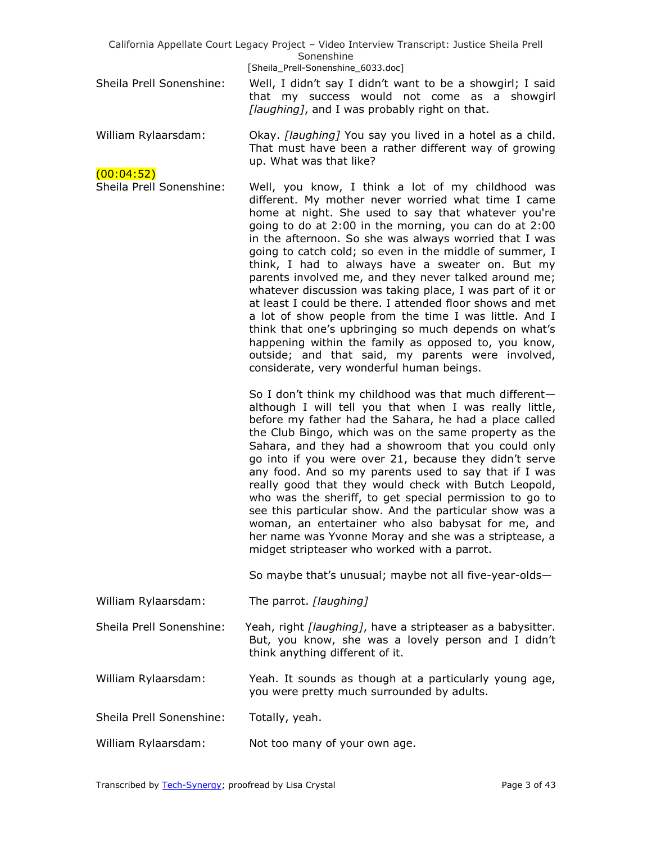| California Appellate Court Legacy Project - Video Interview Transcript: Justice Sheila Prell<br>Sonenshine |                                                                                                                                                                                                                                                                                                                                                                                                                                                                                                                                                                                                                                                                                                                                                                                                                                                                    |  |
|------------------------------------------------------------------------------------------------------------|--------------------------------------------------------------------------------------------------------------------------------------------------------------------------------------------------------------------------------------------------------------------------------------------------------------------------------------------------------------------------------------------------------------------------------------------------------------------------------------------------------------------------------------------------------------------------------------------------------------------------------------------------------------------------------------------------------------------------------------------------------------------------------------------------------------------------------------------------------------------|--|
| Sheila Prell Sonenshine:                                                                                   | [Sheila_Prell-Sonenshine_6033.doc]<br>Well, I didn't say I didn't want to be a showgirl; I said<br>that my success would not come as a showgirl<br>[laughing], and I was probably right on that.                                                                                                                                                                                                                                                                                                                                                                                                                                                                                                                                                                                                                                                                   |  |
| William Rylaarsdam:                                                                                        | Okay. [laughing] You say you lived in a hotel as a child.<br>That must have been a rather different way of growing<br>up. What was that like?                                                                                                                                                                                                                                                                                                                                                                                                                                                                                                                                                                                                                                                                                                                      |  |
| (00:04:52)<br>Sheila Prell Sonenshine:                                                                     | Well, you know, I think a lot of my childhood was<br>different. My mother never worried what time I came<br>home at night. She used to say that whatever you're<br>going to do at 2:00 in the morning, you can do at 2:00<br>in the afternoon. So she was always worried that I was<br>going to catch cold; so even in the middle of summer, I<br>think, I had to always have a sweater on. But my<br>parents involved me, and they never talked around me;<br>whatever discussion was taking place, I was part of it or<br>at least I could be there. I attended floor shows and met<br>a lot of show people from the time I was little. And I<br>think that one's upbringing so much depends on what's<br>happening within the family as opposed to, you know,<br>outside; and that said, my parents were involved,<br>considerate, very wonderful human beings. |  |
|                                                                                                            | So I don't think my childhood was that much different-<br>although I will tell you that when I was really little,<br>before my father had the Sahara, he had a place called<br>the Club Bingo, which was on the same property as the<br>Sahara, and they had a showroom that you could only<br>go into if you were over 21, because they didn't serve<br>any food. And so my parents used to say that if I was<br>really good that they would check with Butch Leopold,<br>who was the sheriff, to get special permission to go to<br>see this particular show. And the particular show was a<br>woman, an entertainer who also babysat for me, and<br>her name was Yvonne Moray and she was a striptease, a<br>midget stripteaser who worked with a parrot.                                                                                                       |  |
|                                                                                                            | So maybe that's unusual; maybe not all five-year-olds-                                                                                                                                                                                                                                                                                                                                                                                                                                                                                                                                                                                                                                                                                                                                                                                                             |  |
| William Rylaarsdam:                                                                                        | The parrot. [laughing]                                                                                                                                                                                                                                                                                                                                                                                                                                                                                                                                                                                                                                                                                                                                                                                                                                             |  |
| Sheila Prell Sonenshine:                                                                                   | Yeah, right [laughing], have a stripteaser as a babysitter.<br>But, you know, she was a lovely person and I didn't<br>think anything different of it.                                                                                                                                                                                                                                                                                                                                                                                                                                                                                                                                                                                                                                                                                                              |  |
| William Rylaarsdam:                                                                                        | Yeah. It sounds as though at a particularly young age,<br>you were pretty much surrounded by adults.                                                                                                                                                                                                                                                                                                                                                                                                                                                                                                                                                                                                                                                                                                                                                               |  |
| Sheila Prell Sonenshine:                                                                                   | Totally, yeah.                                                                                                                                                                                                                                                                                                                                                                                                                                                                                                                                                                                                                                                                                                                                                                                                                                                     |  |
| William Rylaarsdam:                                                                                        | Not too many of your own age.                                                                                                                                                                                                                                                                                                                                                                                                                                                                                                                                                                                                                                                                                                                                                                                                                                      |  |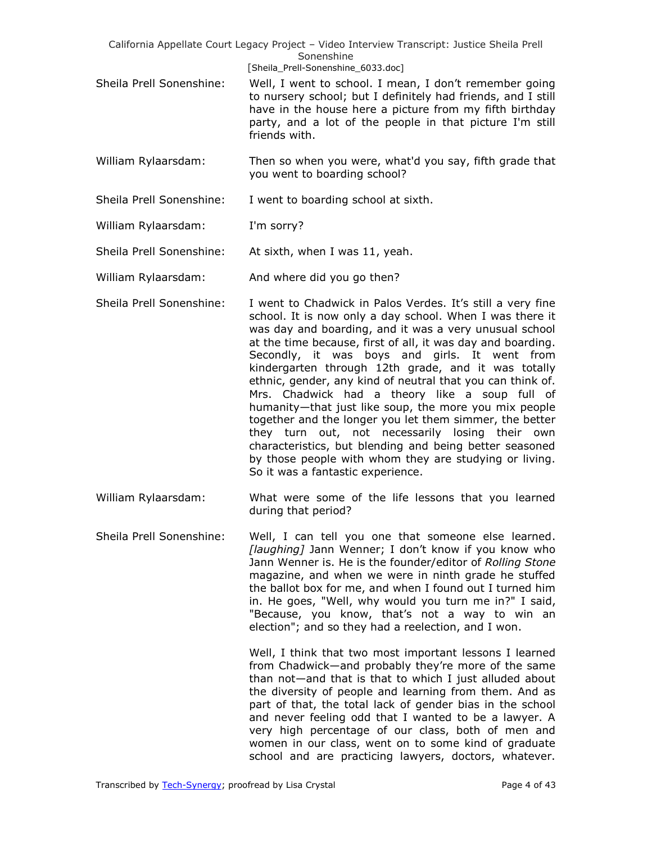|                          | California Appellate Court Legacy Project - Video Interview Transcript: Justice Sheila Prell                                                                                                                                                  |
|--------------------------|-----------------------------------------------------------------------------------------------------------------------------------------------------------------------------------------------------------------------------------------------|
|                          | Sonenshine                                                                                                                                                                                                                                    |
|                          | [Sheila Prell-Sonenshine 6033.doc]                                                                                                                                                                                                            |
| Sheila Prell Sonenshine: | Well, I went to school. I mean, I don't remember going<br>to nursery school; but I definitely had friends, and I still<br>have in the house here a picture from my fifth birthday<br>party, and a lot of the people in that picture I'm still |

- William Rylaarsdam: Then so when you were, what'd you say, fifth grade that you went to boarding school?
- Sheila Prell Sonenshine: I went to boarding school at sixth.

friends with.

- William Rylaarsdam: I'm sorry?
- Sheila Prell Sonenshine: At sixth, when I was 11, yeah.
- William Rylaarsdam: And where did you go then?
- Sheila Prell Sonenshine: I went to Chadwick in Palos Verdes. It's still a very fine school. It is now only a day school. When I was there it was day and boarding, and it was a very unusual school at the time because, first of all, it was day and boarding. Secondly, it was boys and girls. It went from kindergarten through 12th grade, and it was totally ethnic, gender, any kind of neutral that you can think of. Mrs. Chadwick had a theory like a soup full of humanity—that just like soup, the more you mix people together and the longer you let them simmer, the better they turn out, not necessarily losing their own characteristics, but blending and being better seasoned by those people with whom they are studying or living. So it was a fantastic experience.
- William Rylaarsdam: What were some of the life lessons that you learned during that period?
- Sheila Prell Sonenshine: Well, I can tell you one that someone else learned. *[laughing]* Jann Wenner; I don't know if you know who Jann Wenner is. He is the founder/editor of *Rolling Stone*  magazine, and when we were in ninth grade he stuffed the ballot box for me, and when I found out I turned him in. He goes, "Well, why would you turn me in?" I said, "Because, you know, that's not a way to win an election"; and so they had a reelection, and I won.

Well, I think that two most important lessons I learned from Chadwick—and probably they're more of the same than not—and that is that to which I just alluded about the diversity of people and learning from them. And as part of that, the total lack of gender bias in the school and never feeling odd that I wanted to be a lawyer. A very high percentage of our class, both of men and women in our class, went on to some kind of graduate school and are practicing lawyers, doctors, whatever.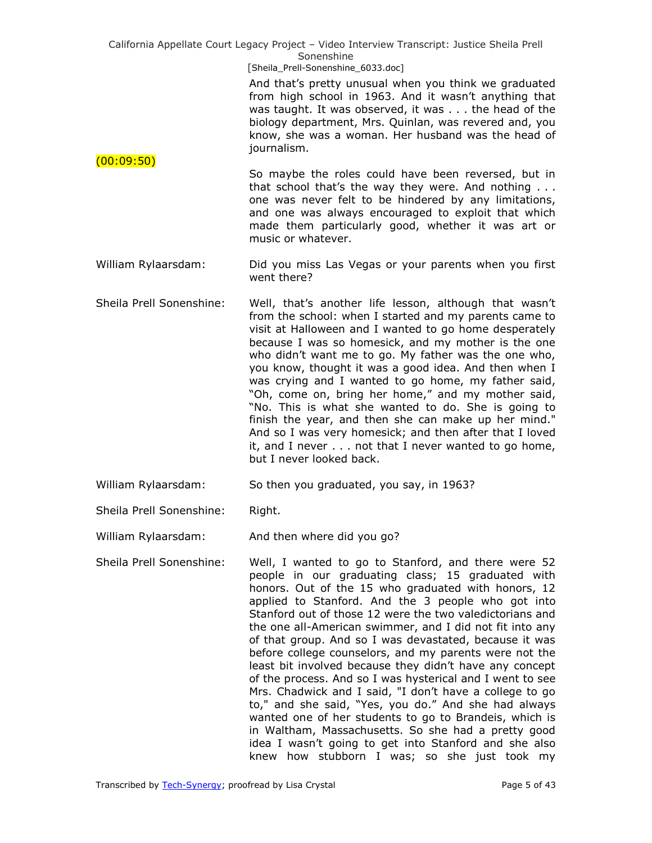> And that's pretty unusual when you think we graduated from high school in 1963. And it wasn't anything that was taught. It was observed, it was . . . the head of the biology department, Mrs. Quinlan, was revered and, you know, she was a woman. Her husband was the head of journalism.

 $(00:09:50)$ So maybe the roles could have been reversed, but in that school that's the way they were. And nothing . . . one was never felt to be hindered by any limitations, and one was always encouraged to exploit that which made them particularly good, whether it was art or music or whatever.

- William Rylaarsdam: Did you miss Las Vegas or your parents when you first went there?
- Sheila Prell Sonenshine: Well, that's another life lesson, although that wasn't from the school: when I started and my parents came to visit at Halloween and I wanted to go home desperately because I was so homesick, and my mother is the one who didn't want me to go. My father was the one who, you know, thought it was a good idea. And then when I was crying and I wanted to go home, my father said, "Oh, come on, bring her home," and my mother said, "No. This is what she wanted to do. She is going to finish the year, and then she can make up her mind." And so I was very homesick; and then after that I loved it, and I never . . . not that I never wanted to go home, but I never looked back.
- William Rylaarsdam: So then you graduated, you say, in 1963?
- Sheila Prell Sonenshine: Right.

William Rylaarsdam: And then where did you go?

Sheila Prell Sonenshine: Well, I wanted to go to Stanford, and there were 52 people in our graduating class; 15 graduated with honors. Out of the 15 who graduated with honors, 12 applied to Stanford. And the 3 people who got into Stanford out of those 12 were the two valedictorians and the one all-American swimmer, and I did not fit into any of that group. And so I was devastated, because it was before college counselors, and my parents were not the least bit involved because they didn't have any concept of the process. And so I was hysterical and I went to see Mrs. Chadwick and I said, "I don't have a college to go to," and she said, "Yes, you do." And she had always wanted one of her students to go to Brandeis, which is in Waltham, Massachusetts. So she had a pretty good idea I wasn't going to get into Stanford and she also knew how stubborn I was; so she just took my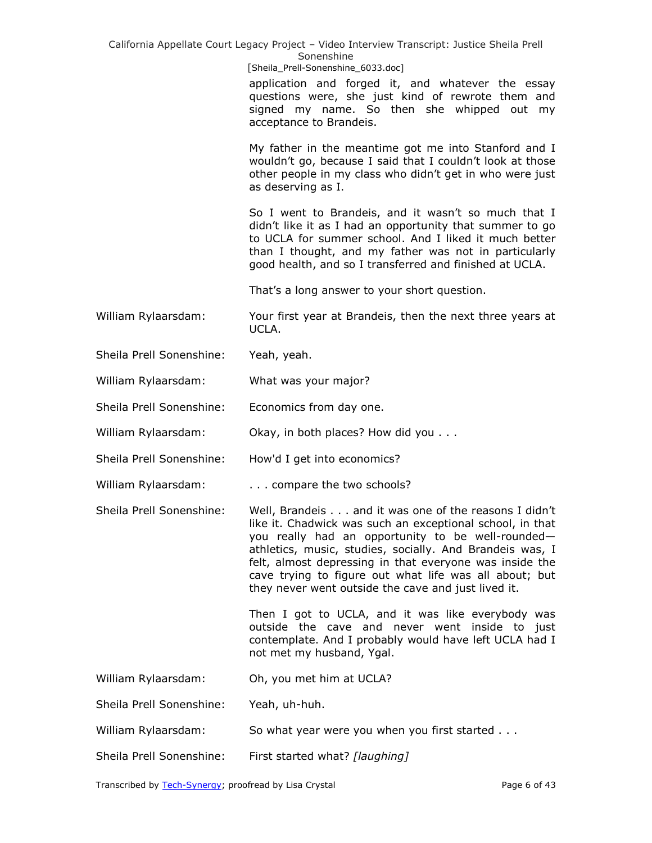|                          | California Appellate Court Legacy Project - Video Interview Transcript: Justice Sheila Prell<br>Sonenshine<br>[Sheila_Prell-Sonenshine_6033.doc]<br>application and forged it, and whatever the essay<br>questions were, she just kind of rewrote them and<br>signed my name. So then she whipped out my<br>acceptance to Brandeis.                                                                             |
|--------------------------|-----------------------------------------------------------------------------------------------------------------------------------------------------------------------------------------------------------------------------------------------------------------------------------------------------------------------------------------------------------------------------------------------------------------|
|                          | My father in the meantime got me into Stanford and I<br>wouldn't go, because I said that I couldn't look at those<br>other people in my class who didn't get in who were just<br>as deserving as I.                                                                                                                                                                                                             |
|                          | So I went to Brandeis, and it wasn't so much that I<br>didn't like it as I had an opportunity that summer to go<br>to UCLA for summer school. And I liked it much better<br>than I thought, and my father was not in particularly<br>good health, and so I transferred and finished at UCLA.                                                                                                                    |
|                          | That's a long answer to your short question.                                                                                                                                                                                                                                                                                                                                                                    |
| William Rylaarsdam:      | Your first year at Brandeis, then the next three years at<br>UCLA.                                                                                                                                                                                                                                                                                                                                              |
| Sheila Prell Sonenshine: | Yeah, yeah.                                                                                                                                                                                                                                                                                                                                                                                                     |
| William Rylaarsdam:      | What was your major?                                                                                                                                                                                                                                                                                                                                                                                            |
| Sheila Prell Sonenshine: | Economics from day one.                                                                                                                                                                                                                                                                                                                                                                                         |
| William Rylaarsdam:      | Okay, in both places? How did you                                                                                                                                                                                                                                                                                                                                                                               |
| Sheila Prell Sonenshine: | How'd I get into economics?                                                                                                                                                                                                                                                                                                                                                                                     |
| William Rylaarsdam:      | compare the two schools?                                                                                                                                                                                                                                                                                                                                                                                        |
| Sheila Prell Sonenshine: | Well, Brandeis and it was one of the reasons I didn't<br>like it. Chadwick was such an exceptional school, in that<br>you really had an opportunity to be well-rounded-<br>athletics, music, studies, socially. And Brandeis was, I<br>felt, almost depressing in that everyone was inside the<br>cave trying to figure out what life was all about; but<br>they never went outside the cave and just lived it. |
|                          | Then I got to UCLA, and it was like everybody was<br>outside the cave and never went inside to just<br>contemplate. And I probably would have left UCLA had I<br>not met my husband, Ygal.                                                                                                                                                                                                                      |
| William Rylaarsdam:      | Oh, you met him at UCLA?                                                                                                                                                                                                                                                                                                                                                                                        |
| Sheila Prell Sonenshine: | Yeah, uh-huh.                                                                                                                                                                                                                                                                                                                                                                                                   |
| William Rylaarsdam:      | So what year were you when you first started                                                                                                                                                                                                                                                                                                                                                                    |
| Sheila Prell Sonenshine: | First started what? [laughing]                                                                                                                                                                                                                                                                                                                                                                                  |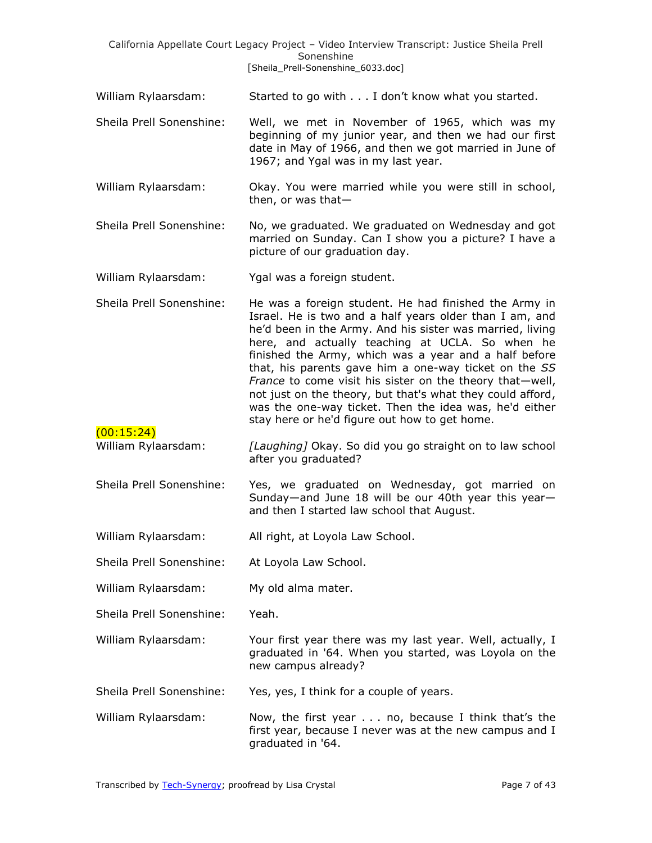|                                   | California Appellate Court Legacy Project - Video Interview Transcript: Justice Sheila Prell<br>Sonenshine                                                                                                                                                                                                                                                                                                                                                                                                                                                                              |
|-----------------------------------|-----------------------------------------------------------------------------------------------------------------------------------------------------------------------------------------------------------------------------------------------------------------------------------------------------------------------------------------------------------------------------------------------------------------------------------------------------------------------------------------------------------------------------------------------------------------------------------------|
|                                   | [Sheila_Prell-Sonenshine_6033.doc]                                                                                                                                                                                                                                                                                                                                                                                                                                                                                                                                                      |
| William Rylaarsdam:               | Started to go with I don't know what you started.                                                                                                                                                                                                                                                                                                                                                                                                                                                                                                                                       |
| Sheila Prell Sonenshine:          | Well, we met in November of 1965, which was my<br>beginning of my junior year, and then we had our first<br>date in May of 1966, and then we got married in June of<br>1967; and Ygal was in my last year.                                                                                                                                                                                                                                                                                                                                                                              |
| William Rylaarsdam:               | Okay. You were married while you were still in school,<br>then, or was that-                                                                                                                                                                                                                                                                                                                                                                                                                                                                                                            |
| Sheila Prell Sonenshine:          | No, we graduated. We graduated on Wednesday and got<br>married on Sunday. Can I show you a picture? I have a<br>picture of our graduation day.                                                                                                                                                                                                                                                                                                                                                                                                                                          |
| William Rylaarsdam:               | Ygal was a foreign student.                                                                                                                                                                                                                                                                                                                                                                                                                                                                                                                                                             |
| Sheila Prell Sonenshine:          | He was a foreign student. He had finished the Army in<br>Israel. He is two and a half years older than I am, and<br>he'd been in the Army. And his sister was married, living<br>here, and actually teaching at UCLA. So when he<br>finished the Army, which was a year and a half before<br>that, his parents gave him a one-way ticket on the SS<br>France to come visit his sister on the theory that-well,<br>not just on the theory, but that's what they could afford,<br>was the one-way ticket. Then the idea was, he'd either<br>stay here or he'd figure out how to get home. |
| (00:15:24)<br>William Rylaarsdam: | [Laughing] Okay. So did you go straight on to law school<br>after you graduated?                                                                                                                                                                                                                                                                                                                                                                                                                                                                                                        |
| Sheila Prell Sonenshine:          | Yes, we graduated on Wednesday, got married on<br>Sunday—and June 18 will be our 40th year this year—<br>and then I started law school that August.                                                                                                                                                                                                                                                                                                                                                                                                                                     |
| William Rylaarsdam:               | All right, at Loyola Law School.                                                                                                                                                                                                                                                                                                                                                                                                                                                                                                                                                        |
| Sheila Prell Sonenshine:          | At Loyola Law School.                                                                                                                                                                                                                                                                                                                                                                                                                                                                                                                                                                   |
| William Rylaarsdam:               | My old alma mater.                                                                                                                                                                                                                                                                                                                                                                                                                                                                                                                                                                      |
| Sheila Prell Sonenshine:          | Yeah.                                                                                                                                                                                                                                                                                                                                                                                                                                                                                                                                                                                   |
| William Rylaarsdam:               | Your first year there was my last year. Well, actually, I<br>graduated in '64. When you started, was Loyola on the<br>new campus already?                                                                                                                                                                                                                                                                                                                                                                                                                                               |
| Sheila Prell Sonenshine:          | Yes, yes, I think for a couple of years.                                                                                                                                                                                                                                                                                                                                                                                                                                                                                                                                                |
| William Rylaarsdam:               | Now, the first year $\dots$ no, because I think that's the<br>first year, because I never was at the new campus and I<br>graduated in '64.                                                                                                                                                                                                                                                                                                                                                                                                                                              |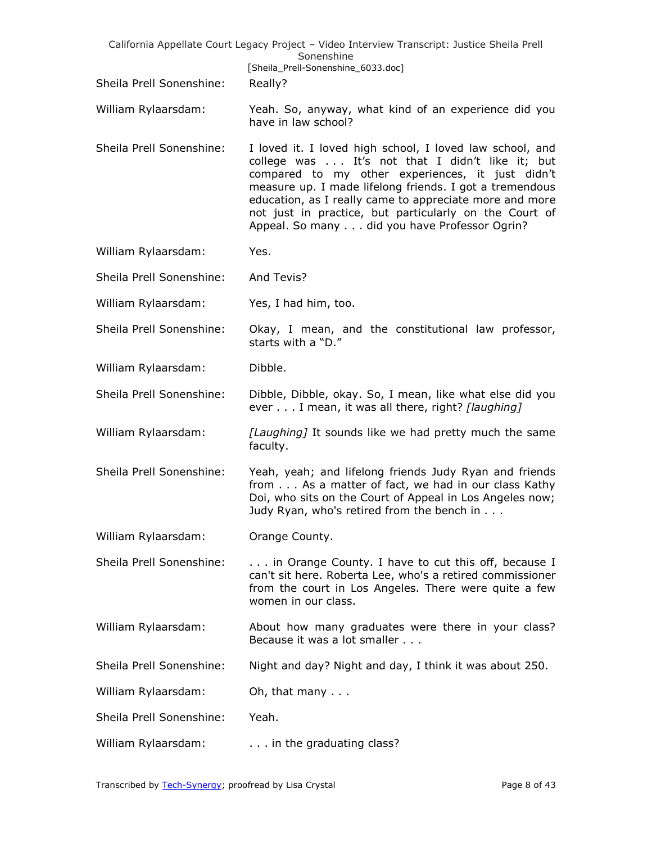|                          | California Appellate Court Legacy Project - Video Interview Transcript: Justice Sheila Prell<br>Sonenshine                                                                                                                                                                                                                                                                                       |
|--------------------------|--------------------------------------------------------------------------------------------------------------------------------------------------------------------------------------------------------------------------------------------------------------------------------------------------------------------------------------------------------------------------------------------------|
|                          | [Sheila_Prell-Sonenshine_6033.doc]                                                                                                                                                                                                                                                                                                                                                               |
| Sheila Prell Sonenshine: | Really?                                                                                                                                                                                                                                                                                                                                                                                          |
| William Rylaarsdam:      | Yeah. So, anyway, what kind of an experience did you<br>have in law school?                                                                                                                                                                                                                                                                                                                      |
| Sheila Prell Sonenshine: | I loved it. I loved high school, I loved law school, and<br>college was It's not that I didn't like it; but<br>compared to my other experiences, it just didn't<br>measure up. I made lifelong friends. I got a tremendous<br>education, as I really came to appreciate more and more<br>not just in practice, but particularly on the Court of<br>Appeal. So many did you have Professor Ogrin? |
| William Rylaarsdam:      | Yes.                                                                                                                                                                                                                                                                                                                                                                                             |
| Sheila Prell Sonenshine: | And Tevis?                                                                                                                                                                                                                                                                                                                                                                                       |
| William Rylaarsdam:      | Yes, I had him, too.                                                                                                                                                                                                                                                                                                                                                                             |
| Sheila Prell Sonenshine: | Okay, I mean, and the constitutional law professor,<br>starts with a "D."                                                                                                                                                                                                                                                                                                                        |
| William Rylaarsdam:      | Dibble.                                                                                                                                                                                                                                                                                                                                                                                          |
| Sheila Prell Sonenshine: | Dibble, Dibble, okay. So, I mean, like what else did you<br>ever I mean, it was all there, right? [laughing]                                                                                                                                                                                                                                                                                     |
| William Rylaarsdam:      | [Laughing] It sounds like we had pretty much the same<br>faculty.                                                                                                                                                                                                                                                                                                                                |
| Sheila Prell Sonenshine: | Yeah, yeah; and lifelong friends Judy Ryan and friends<br>from As a matter of fact, we had in our class Kathy<br>Doi, who sits on the Court of Appeal in Los Angeles now;<br>Judy Ryan, who's retired from the bench in                                                                                                                                                                          |
| William Rylaarsdam:      | Orange County.                                                                                                                                                                                                                                                                                                                                                                                   |
| Sheila Prell Sonenshine: | in Orange County. I have to cut this off, because I<br>can't sit here. Roberta Lee, who's a retired commissioner<br>from the court in Los Angeles. There were quite a few<br>women in our class.                                                                                                                                                                                                 |
| William Rylaarsdam:      | About how many graduates were there in your class?<br>Because it was a lot smaller                                                                                                                                                                                                                                                                                                               |
| Sheila Prell Sonenshine: | Night and day? Night and day, I think it was about 250.                                                                                                                                                                                                                                                                                                                                          |
| William Rylaarsdam:      | Oh, that many                                                                                                                                                                                                                                                                                                                                                                                    |
| Sheila Prell Sonenshine: | Yeah.                                                                                                                                                                                                                                                                                                                                                                                            |
| William Rylaarsdam:      | in the graduating class?                                                                                                                                                                                                                                                                                                                                                                         |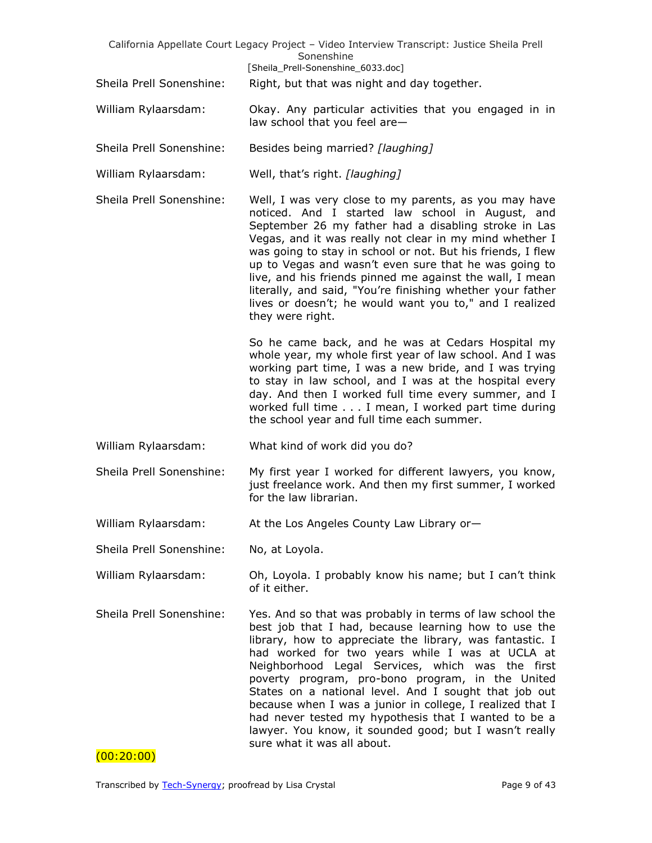|                          | California Appellate Court Legacy Project - Video Interview Transcript: Justice Sheila Prell<br>Sonenshine                                                                                                                                                                                                                                                                                                                                                                                                                                                                                                     |
|--------------------------|----------------------------------------------------------------------------------------------------------------------------------------------------------------------------------------------------------------------------------------------------------------------------------------------------------------------------------------------------------------------------------------------------------------------------------------------------------------------------------------------------------------------------------------------------------------------------------------------------------------|
| Sheila Prell Sonenshine: | [Sheila_Prell-Sonenshine_6033.doc]<br>Right, but that was night and day together.                                                                                                                                                                                                                                                                                                                                                                                                                                                                                                                              |
| William Rylaarsdam:      | Okay. Any particular activities that you engaged in in<br>law school that you feel are-                                                                                                                                                                                                                                                                                                                                                                                                                                                                                                                        |
| Sheila Prell Sonenshine: | Besides being married? [laughing]                                                                                                                                                                                                                                                                                                                                                                                                                                                                                                                                                                              |
| William Rylaarsdam:      | Well, that's right. [laughing]                                                                                                                                                                                                                                                                                                                                                                                                                                                                                                                                                                                 |
| Sheila Prell Sonenshine: | Well, I was very close to my parents, as you may have<br>noticed. And I started law school in August, and<br>September 26 my father had a disabling stroke in Las<br>Vegas, and it was really not clear in my mind whether I<br>was going to stay in school or not. But his friends, I flew<br>up to Vegas and wasn't even sure that he was going to<br>live, and his friends pinned me against the wall, I mean<br>literally, and said, "You're finishing whether your father<br>lives or doesn't; he would want you to," and I realized<br>they were right.                                                  |
|                          | So he came back, and he was at Cedars Hospital my<br>whole year, my whole first year of law school. And I was<br>working part time, I was a new bride, and I was trying<br>to stay in law school, and I was at the hospital every<br>day. And then I worked full time every summer, and I<br>worked full time I mean, I worked part time during<br>the school year and full time each summer.                                                                                                                                                                                                                  |
| William Rylaarsdam:      | What kind of work did you do?                                                                                                                                                                                                                                                                                                                                                                                                                                                                                                                                                                                  |
| Sheila Prell Sonenshine: | My first year I worked for different lawyers, you know,<br>just freelance work. And then my first summer, I worked<br>for the law librarian.                                                                                                                                                                                                                                                                                                                                                                                                                                                                   |
| William Rylaarsdam:      | At the Los Angeles County Law Library or-                                                                                                                                                                                                                                                                                                                                                                                                                                                                                                                                                                      |
| Sheila Prell Sonenshine: | No, at Loyola.                                                                                                                                                                                                                                                                                                                                                                                                                                                                                                                                                                                                 |
| William Rylaarsdam:      | Oh, Loyola. I probably know his name; but I can't think<br>of it either.                                                                                                                                                                                                                                                                                                                                                                                                                                                                                                                                       |
| Sheila Prell Sonenshine: | Yes. And so that was probably in terms of law school the<br>best job that I had, because learning how to use the<br>library, how to appreciate the library, was fantastic. I<br>had worked for two years while I was at UCLA at<br>Neighborhood Legal Services, which was the first<br>poverty program, pro-bono program, in the United<br>States on a national level. And I sought that job out<br>because when I was a junior in college, I realized that I<br>had never tested my hypothesis that I wanted to be a<br>lawyer. You know, it sounded good; but I wasn't really<br>sure what it was all about. |

 $(00:20:00)$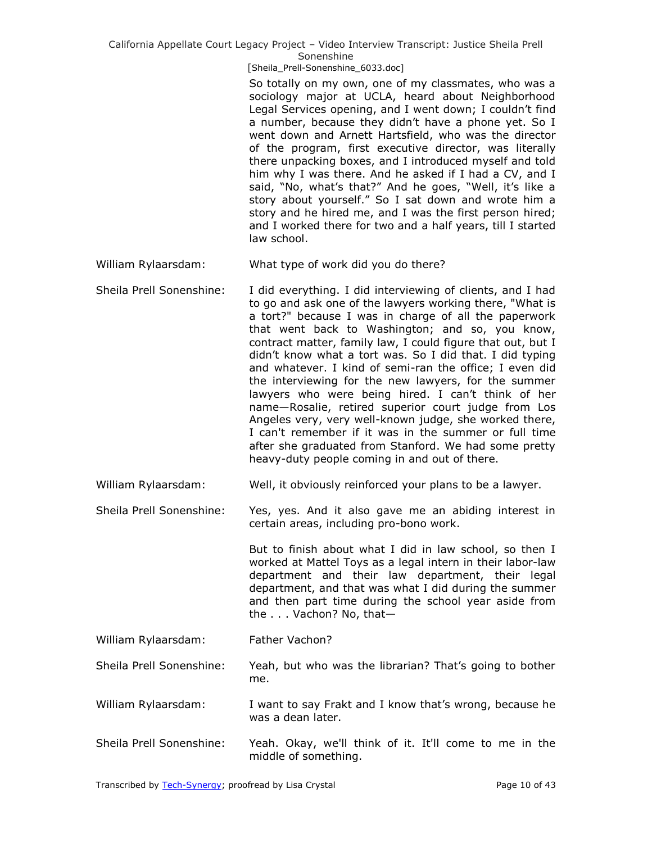[Sheila\_Prell-Sonenshine\_6033.doc]

So totally on my own, one of my classmates, who was a sociology major at UCLA, heard about Neighborhood Legal Services opening, and I went down; I couldn't find a number, because they didn't have a phone yet. So I went down and Arnett Hartsfield, who was the director of the program, first executive director, was literally there unpacking boxes, and I introduced myself and told him why I was there. And he asked if I had a CV, and I said, "No, what's that?" And he goes, "Well, it's like a story about yourself." So I sat down and wrote him a story and he hired me, and I was the first person hired; and I worked there for two and a half years, till I started law school.

William Rylaarsdam: What type of work did you do there?

Sheila Prell Sonenshine: I did everything. I did interviewing of clients, and I had to go and ask one of the lawyers working there, "What is a tort?" because I was in charge of all the paperwork that went back to Washington; and so, you know, contract matter, family law, I could figure that out, but I didn't know what a tort was. So I did that. I did typing and whatever. I kind of semi-ran the office; I even did the interviewing for the new lawyers, for the summer lawyers who were being hired. I can't think of her name—Rosalie, retired superior court judge from Los Angeles very, very well-known judge, she worked there, I can't remember if it was in the summer or full time after she graduated from Stanford. We had some pretty heavy-duty people coming in and out of there.

William Rylaarsdam: Well, it obviously reinforced your plans to be a lawyer.

Sheila Prell Sonenshine: Yes, yes. And it also gave me an abiding interest in certain areas, including pro-bono work.

> But to finish about what I did in law school, so then I worked at Mattel Toys as a legal intern in their labor-law department and their law department, their legal department, and that was what I did during the summer and then part time during the school year aside from the . . . Vachon? No, that—

- William Rylaarsdam: Father Vachon?
- Sheila Prell Sonenshine: Yeah, but who was the librarian? That's going to bother me.
- William Rylaarsdam: I want to say Frakt and I know that's wrong, because he was a dean later.
- Sheila Prell Sonenshine: Yeah. Okay, we'll think of it. It'll come to me in the middle of something.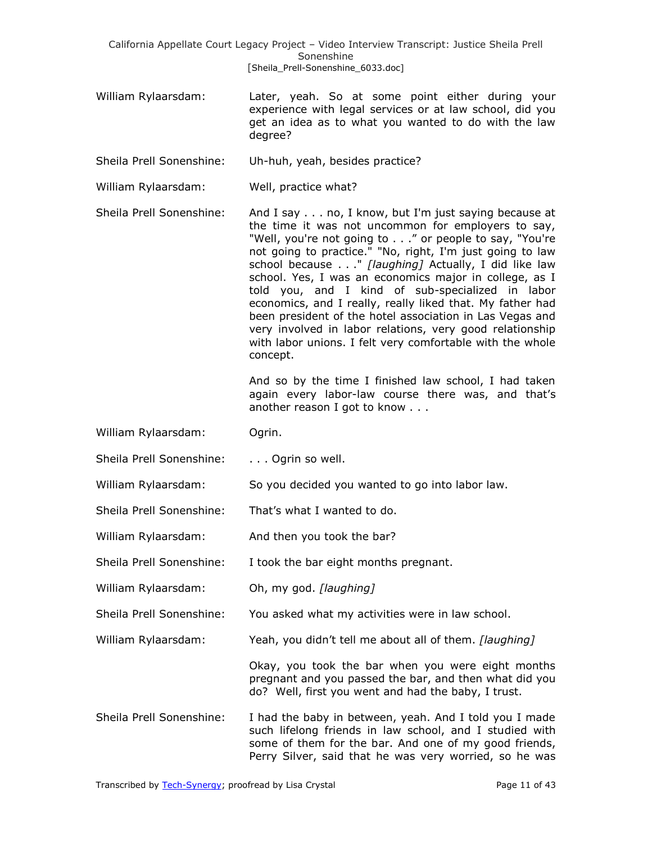- William Rylaarsdam: Later, yeah. So at some point either during your experience with legal services or at law school, did you get an idea as to what you wanted to do with the law degree?
- Sheila Prell Sonenshine: Uh-huh, yeah, besides practice?
- William Rylaarsdam: Well, practice what?

Sheila Prell Sonenshine: And I say . . . no, I know, but I'm just saying because at the time it was not uncommon for employers to say, "Well, you're not going to . . ." or people to say, "You're not going to practice." "No, right, I'm just going to law school because . . ." *[laughing]* Actually, I did like law school. Yes, I was an economics major in college, as I told you, and I kind of sub-specialized in labor economics, and I really, really liked that. My father had been president of the hotel association in Las Vegas and very involved in labor relations, very good relationship with labor unions. I felt very comfortable with the whole concept.

> And so by the time I finished law school, I had taken again every labor-law course there was, and that's another reason I got to know . . .

- William Rylaarsdam: Ogrin.
- Sheila Prell Sonenshine: . . . . Ogrin so well.
- William Rylaarsdam: So you decided you wanted to go into labor law.
- Sheila Prell Sonenshine: That's what I wanted to do.
- William Rylaarsdam: And then you took the bar?
- Sheila Prell Sonenshine: I took the bar eight months pregnant.
- William Rylaarsdam: Oh, my god. *[laughing]*
- Sheila Prell Sonenshine: You asked what my activities were in law school.
- William Rylaarsdam: Yeah, you didn't tell me about all of them. *[laughing]*

Okay, you took the bar when you were eight months pregnant and you passed the bar, and then what did you do? Well, first you went and had the baby, I trust.

Sheila Prell Sonenshine: I had the baby in between, yeah. And I told you I made such lifelong friends in law school, and I studied with some of them for the bar. And one of my good friends, Perry Silver, said that he was very worried, so he was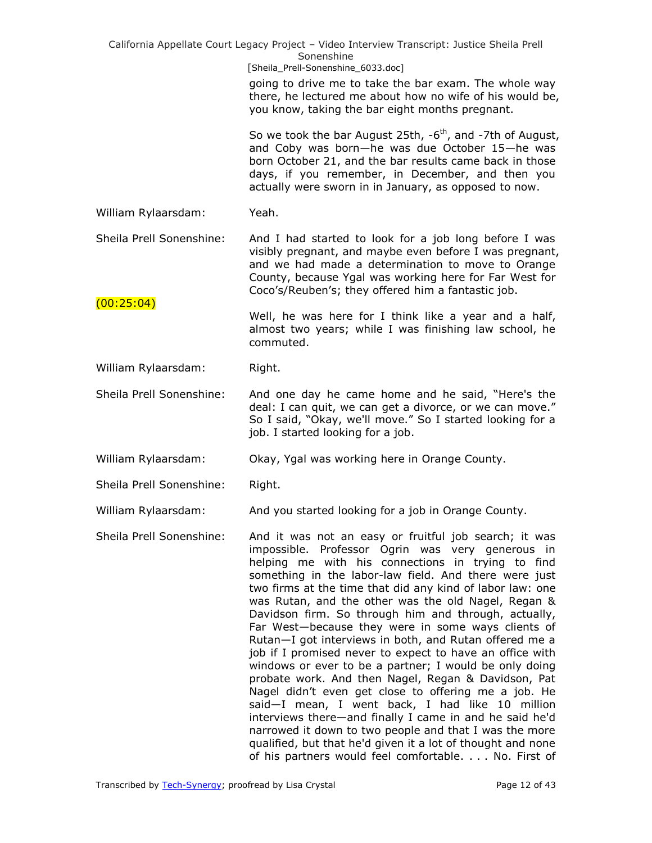|                          | California Appellate Court Legacy Project - Video Interview Transcript: Justice Sheila Prell<br>Sonenshine<br>[Sheila_Prell-Sonenshine_6033.doc]                                                                                                                                                                                                                                                                                                                                                                                                                                                                                                                                                                                                                                                                                                                                                                                                                                                                                                        |
|--------------------------|---------------------------------------------------------------------------------------------------------------------------------------------------------------------------------------------------------------------------------------------------------------------------------------------------------------------------------------------------------------------------------------------------------------------------------------------------------------------------------------------------------------------------------------------------------------------------------------------------------------------------------------------------------------------------------------------------------------------------------------------------------------------------------------------------------------------------------------------------------------------------------------------------------------------------------------------------------------------------------------------------------------------------------------------------------|
|                          | going to drive me to take the bar exam. The whole way<br>there, he lectured me about how no wife of his would be,<br>you know, taking the bar eight months pregnant.                                                                                                                                                                                                                                                                                                                                                                                                                                                                                                                                                                                                                                                                                                                                                                                                                                                                                    |
|                          | So we took the bar August 25th, $-6^{th}$ , and $-7th$ of August,<br>and Coby was born-he was due October 15-he was<br>born October 21, and the bar results came back in those<br>days, if you remember, in December, and then you<br>actually were sworn in in January, as opposed to now.                                                                                                                                                                                                                                                                                                                                                                                                                                                                                                                                                                                                                                                                                                                                                             |
| William Rylaarsdam:      | Yeah.                                                                                                                                                                                                                                                                                                                                                                                                                                                                                                                                                                                                                                                                                                                                                                                                                                                                                                                                                                                                                                                   |
| Sheila Prell Sonenshine: | And I had started to look for a job long before I was<br>visibly pregnant, and maybe even before I was pregnant,<br>and we had made a determination to move to Orange<br>County, because Ygal was working here for Far West for<br>Coco's/Reuben's; they offered him a fantastic job.                                                                                                                                                                                                                                                                                                                                                                                                                                                                                                                                                                                                                                                                                                                                                                   |
| (00:25:04)               | Well, he was here for I think like a year and a half,<br>almost two years; while I was finishing law school, he<br>commuted.                                                                                                                                                                                                                                                                                                                                                                                                                                                                                                                                                                                                                                                                                                                                                                                                                                                                                                                            |
| William Rylaarsdam:      | Right.                                                                                                                                                                                                                                                                                                                                                                                                                                                                                                                                                                                                                                                                                                                                                                                                                                                                                                                                                                                                                                                  |
| Sheila Prell Sonenshine: | And one day he came home and he said, "Here's the<br>deal: I can quit, we can get a divorce, or we can move."<br>So I said, "Okay, we'll move." So I started looking for a<br>job. I started looking for a job.                                                                                                                                                                                                                                                                                                                                                                                                                                                                                                                                                                                                                                                                                                                                                                                                                                         |
| William Rylaarsdam:      | Okay, Ygal was working here in Orange County.                                                                                                                                                                                                                                                                                                                                                                                                                                                                                                                                                                                                                                                                                                                                                                                                                                                                                                                                                                                                           |
| Sheila Prell Sonenshine: | Right.                                                                                                                                                                                                                                                                                                                                                                                                                                                                                                                                                                                                                                                                                                                                                                                                                                                                                                                                                                                                                                                  |
| William Rylaarsdam:      | And you started looking for a job in Orange County.                                                                                                                                                                                                                                                                                                                                                                                                                                                                                                                                                                                                                                                                                                                                                                                                                                                                                                                                                                                                     |
| Sheila Prell Sonenshine: | And it was not an easy or fruitful job search; it was<br>impossible. Professor Ogrin was very generous in<br>helping me with his connections in trying to find<br>something in the labor-law field. And there were just<br>two firms at the time that did any kind of labor law: one<br>was Rutan, and the other was the old Nagel, Regan &<br>Davidson firm. So through him and through, actually,<br>Far West-because they were in some ways clients of<br>Rutan-I got interviews in both, and Rutan offered me a<br>job if I promised never to expect to have an office with<br>windows or ever to be a partner; I would be only doing<br>probate work. And then Nagel, Regan & Davidson, Pat<br>Nagel didn't even get close to offering me a job. He<br>said-I mean, I went back, I had like 10 million<br>interviews there—and finally I came in and he said he'd<br>narrowed it down to two people and that I was the more<br>qualified, but that he'd given it a lot of thought and none<br>of his partners would feel comfortable. No. First of |
|                          |                                                                                                                                                                                                                                                                                                                                                                                                                                                                                                                                                                                                                                                                                                                                                                                                                                                                                                                                                                                                                                                         |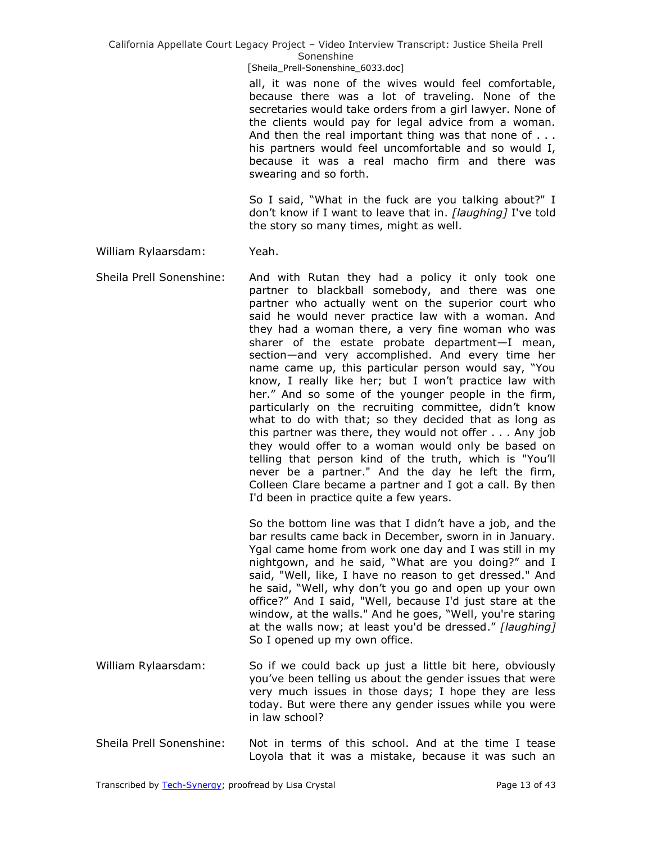[Sheila\_Prell-Sonenshine\_6033.doc]

all, it was none of the wives would feel comfortable, because there was a lot of traveling. None of the secretaries would take orders from a girl lawyer. None of the clients would pay for legal advice from a woman. And then the real important thing was that none of . . . his partners would feel uncomfortable and so would I, because it was a real macho firm and there was swearing and so forth.

So I said, "What in the fuck are you talking about?" I don't know if I want to leave that in. *[laughing]* I've told the story so many times, might as well.

### William Rylaarsdam: Yeah.

Sheila Prell Sonenshine: And with Rutan they had a policy it only took one partner to blackball somebody, and there was one partner who actually went on the superior court who said he would never practice law with a woman. And they had a woman there, a very fine woman who was sharer of the estate probate department—I mean, section—and very accomplished. And every time her name came up, this particular person would say, "You know, I really like her; but I won't practice law with her." And so some of the younger people in the firm, particularly on the recruiting committee, didn't know what to do with that; so they decided that as long as this partner was there, they would not offer . . . Any job they would offer to a woman would only be based on telling that person kind of the truth, which is "You'll never be a partner." And the day he left the firm, Colleen Clare became a partner and I got a call. By then I'd been in practice quite a few years.

> So the bottom line was that I didn't have a job, and the bar results came back in December, sworn in in January. Ygal came home from work one day and I was still in my nightgown, and he said, "What are you doing?" and I said, "Well, like, I have no reason to get dressed." And he said, "Well, why don't you go and open up your own office?" And I said, "Well, because I'd just stare at the window, at the walls." And he goes, "Well, you're staring at the walls now; at least you'd be dressed." [laughing] So I opened up my own office.

- William Rylaarsdam: So if we could back up just a little bit here, obviously you've been telling us about the gender issues that were very much issues in those days; I hope they are less today. But were there any gender issues while you were in law school?
- Sheila Prell Sonenshine: Not in terms of this school. And at the time I tease Loyola that it was a mistake, because it was such an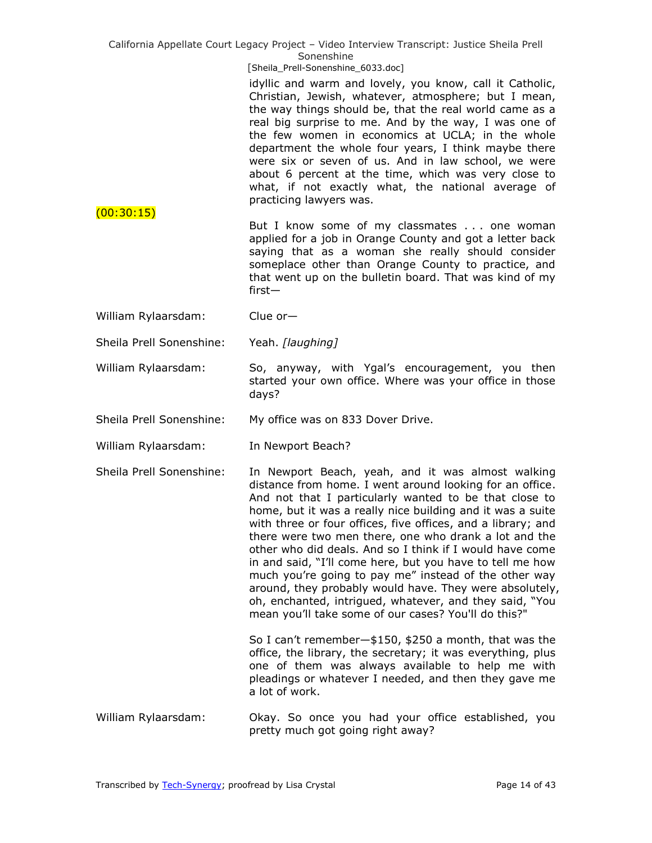|                          | California Appellate Court Legacy Project - Video Interview Transcript: Justice Sheila Prell<br>Sonenshine                                                                                                                                                                                                                                                                                                                                                                                                                                                                                                                                                                                                                     |
|--------------------------|--------------------------------------------------------------------------------------------------------------------------------------------------------------------------------------------------------------------------------------------------------------------------------------------------------------------------------------------------------------------------------------------------------------------------------------------------------------------------------------------------------------------------------------------------------------------------------------------------------------------------------------------------------------------------------------------------------------------------------|
|                          | [Sheila_Prell-Sonenshine_6033.doc]<br>idyllic and warm and lovely, you know, call it Catholic,<br>Christian, Jewish, whatever, atmosphere; but I mean,<br>the way things should be, that the real world came as a<br>real big surprise to me. And by the way, I was one of<br>the few women in economics at UCLA; in the whole<br>department the whole four years, I think maybe there<br>were six or seven of us. And in law school, we were<br>about 6 percent at the time, which was very close to<br>what, if not exactly what, the national average of<br>practicing lawyers was.                                                                                                                                         |
| (00:30:15)               | But I know some of my classmates one woman<br>applied for a job in Orange County and got a letter back<br>saying that as a woman she really should consider<br>someplace other than Orange County to practice, and<br>that went up on the bulletin board. That was kind of my<br>$first-$                                                                                                                                                                                                                                                                                                                                                                                                                                      |
| William Rylaarsdam:      | Clue $or-$                                                                                                                                                                                                                                                                                                                                                                                                                                                                                                                                                                                                                                                                                                                     |
| Sheila Prell Sonenshine: | Yeah. [laughing]                                                                                                                                                                                                                                                                                                                                                                                                                                                                                                                                                                                                                                                                                                               |
| William Rylaarsdam:      | So, anyway, with Ygal's encouragement, you then<br>started your own office. Where was your office in those<br>days?                                                                                                                                                                                                                                                                                                                                                                                                                                                                                                                                                                                                            |
| Sheila Prell Sonenshine: | My office was on 833 Dover Drive.                                                                                                                                                                                                                                                                                                                                                                                                                                                                                                                                                                                                                                                                                              |
| William Rylaarsdam:      | In Newport Beach?                                                                                                                                                                                                                                                                                                                                                                                                                                                                                                                                                                                                                                                                                                              |
| Sheila Prell Sonenshine: | In Newport Beach, yeah, and it was almost walking<br>distance from home. I went around looking for an office.<br>And not that I particularly wanted to be that close to<br>home, but it was a really nice building and it was a suite<br>with three or four offices, five offices, and a library; and<br>there were two men there, one who drank a lot and the<br>other who did deals. And so I think if I would have come<br>in and said, "I'll come here, but you have to tell me how<br>much you're going to pay me" instead of the other way<br>around, they probably would have. They were absolutely,<br>oh, enchanted, intrigued, whatever, and they said, "You<br>mean you'll take some of our cases? You'll do this?" |
|                          | So I can't remember-\$150, \$250 a month, that was the<br>office, the library, the secretary; it was everything, plus<br>one of them was always available to help me with<br>pleadings or whatever I needed, and then they gave me<br>a lot of work.                                                                                                                                                                                                                                                                                                                                                                                                                                                                           |
| William Rylaarsdam:      | Okay. So once you had your office established, you<br>pretty much got going right away?                                                                                                                                                                                                                                                                                                                                                                                                                                                                                                                                                                                                                                        |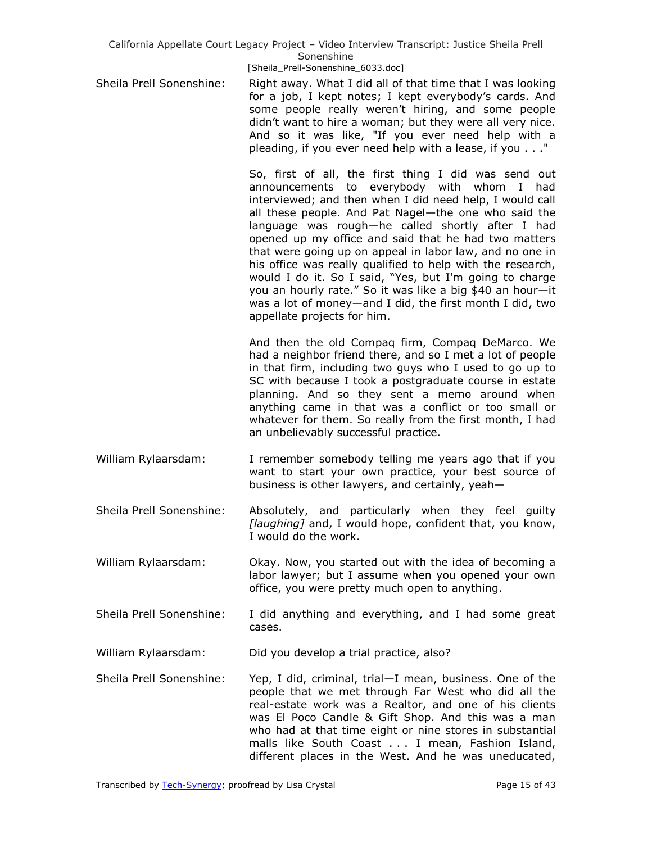[Sheila\_Prell-Sonenshine\_6033.doc]

Sheila Prell Sonenshine: Right away. What I did all of that time that I was looking for a job, I kept notes; I kept everybody's cards. And some people really weren't hiring, and some people didn't want to hire a woman; but they were all very nice. And so it was like, "If you ever need help with a pleading, if you ever need help with a lease, if you . . ."

> So, first of all, the first thing I did was send out announcements to everybody with whom I had interviewed; and then when I did need help, I would call all these people. And Pat Nagel—the one who said the language was rough—he called shortly after I had opened up my office and said that he had two matters that were going up on appeal in labor law, and no one in his office was really qualified to help with the research, would I do it. So I said, "Yes, but I'm going to charge you an hourly rate." So it was like a big \$40 an hour-it was a lot of money—and I did, the first month I did, two appellate projects for him.

> And then the old Compaq firm, Compaq DeMarco. We had a neighbor friend there, and so I met a lot of people in that firm, including two guys who I used to go up to SC with because I took a postgraduate course in estate planning. And so they sent a memo around when anything came in that was a conflict or too small or whatever for them. So really from the first month, I had an unbelievably successful practice.

William Rylaarsdam: I remember somebody telling me years ago that if you want to start your own practice, your best source of business is other lawyers, and certainly, yeah—

Sheila Prell Sonenshine: Absolutely, and particularly when they feel guilty *[laughing]* and, I would hope, confident that, you know, I would do the work.

- William Rylaarsdam: Okay. Now, you started out with the idea of becoming a labor lawyer; but I assume when you opened your own office, you were pretty much open to anything.
- Sheila Prell Sonenshine: I did anything and everything, and I had some great cases.

William Rylaarsdam: Did you develop a trial practice, also?

Sheila Prell Sonenshine: Yep, I did, criminal, trial—I mean, business. One of the people that we met through Far West who did all the real-estate work was a Realtor, and one of his clients was El Poco Candle & Gift Shop. And this was a man who had at that time eight or nine stores in substantial malls like South Coast . . . I mean, Fashion Island, different places in the West. And he was uneducated,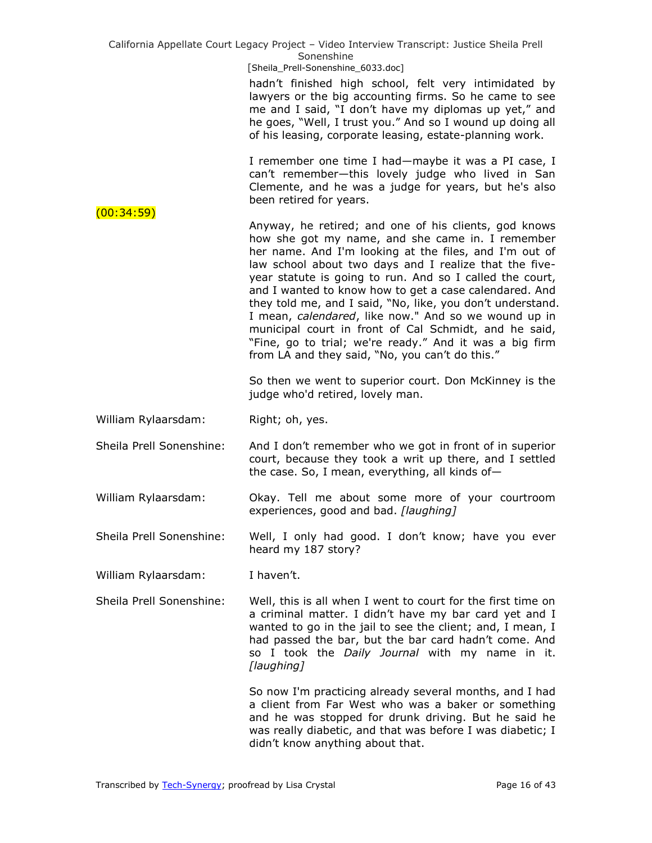|                          | California Appellate Court Legacy Project - Video Interview Transcript: Justice Sheila Prell<br>Sonenshine<br>[Sheila_Prell-Sonenshine_6033.doc]                                                                                                                                                                                                                                                                                                                                                                                                                                                                                                 |
|--------------------------|--------------------------------------------------------------------------------------------------------------------------------------------------------------------------------------------------------------------------------------------------------------------------------------------------------------------------------------------------------------------------------------------------------------------------------------------------------------------------------------------------------------------------------------------------------------------------------------------------------------------------------------------------|
|                          | hadn't finished high school, felt very intimidated by<br>lawyers or the big accounting firms. So he came to see<br>me and I said, "I don't have my diplomas up yet," and<br>he goes, "Well, I trust you." And so I wound up doing all<br>of his leasing, corporate leasing, estate-planning work.                                                                                                                                                                                                                                                                                                                                                |
| (00:34:59)               | I remember one time I had—maybe it was a PI case, I<br>can't remember-this lovely judge who lived in San<br>Clemente, and he was a judge for years, but he's also<br>been retired for years.                                                                                                                                                                                                                                                                                                                                                                                                                                                     |
|                          | Anyway, he retired; and one of his clients, god knows<br>how she got my name, and she came in. I remember<br>her name. And I'm looking at the files, and I'm out of<br>law school about two days and I realize that the five-<br>year statute is going to run. And so I called the court,<br>and I wanted to know how to get a case calendared. And<br>they told me, and I said, "No, like, you don't understand.<br>I mean, calendared, like now." And so we wound up in<br>municipal court in front of Cal Schmidt, and he said,<br>"Fine, go to trial; we're ready." And it was a big firm<br>from LA and they said, "No, you can't do this." |
|                          | So then we went to superior court. Don McKinney is the<br>judge who'd retired, lovely man.                                                                                                                                                                                                                                                                                                                                                                                                                                                                                                                                                       |
| William Rylaarsdam:      | Right; oh, yes.                                                                                                                                                                                                                                                                                                                                                                                                                                                                                                                                                                                                                                  |
| Sheila Prell Sonenshine: | And I don't remember who we got in front of in superior<br>court, because they took a writ up there, and I settled<br>the case. So, I mean, everything, all kinds of-                                                                                                                                                                                                                                                                                                                                                                                                                                                                            |
| William Rylaarsdam:      | Okay. Tell me about some more of your courtroom<br>experiences, good and bad. [laughing]                                                                                                                                                                                                                                                                                                                                                                                                                                                                                                                                                         |
| Sheila Prell Sonenshine: | Well, I only had good. I don't know; have you ever<br>heard my 187 story?                                                                                                                                                                                                                                                                                                                                                                                                                                                                                                                                                                        |
| William Rylaarsdam:      | I haven't.                                                                                                                                                                                                                                                                                                                                                                                                                                                                                                                                                                                                                                       |
| Sheila Prell Sonenshine: | Well, this is all when I went to court for the first time on<br>a criminal matter. I didn't have my bar card yet and I<br>wanted to go in the jail to see the client; and, I mean, I<br>had passed the bar, but the bar card hadn't come. And<br>so I took the Daily Journal with my name in it.<br>[laughing]                                                                                                                                                                                                                                                                                                                                   |
|                          | So now I'm practicing already several months, and I had<br>a client from Far West who was a baker or something<br>and he was stopped for drunk driving. But he said he<br>was really diabetic, and that was before I was diabetic; I<br>didn't know anything about that.                                                                                                                                                                                                                                                                                                                                                                         |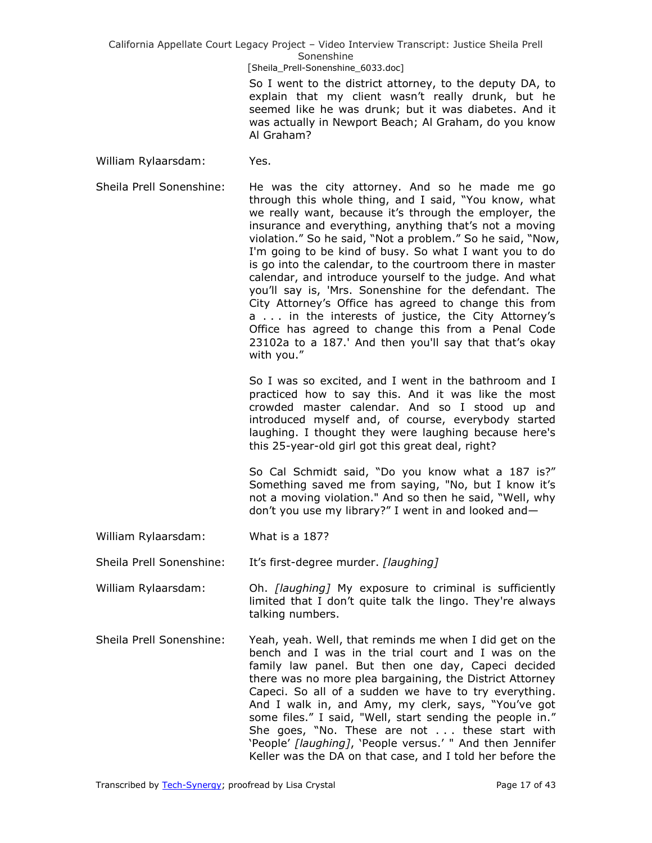[Sheila\_Prell-Sonenshine\_6033.doc]

So I went to the district attorney, to the deputy DA, to explain that my client wasn't really drunk, but he seemed like he was drunk; but it was diabetes. And it was actually in Newport Beach; Al Graham, do you know Al Graham?

William Rylaarsdam: Yes.

Sheila Prell Sonenshine: He was the city attorney. And so he made me go through this whole thing, and I said, "You know, what we really want, because it's through the employer, the insurance and everything, anything that's not a moving violation." So he said, "Not a problem." So he said, "Now, I'm going to be kind of busy. So what I want you to do is go into the calendar, to the courtroom there in master calendar, and introduce yourself to the judge. And what you'll say is, 'Mrs. Sonenshine for the defendant. The City Attorney's Office has agreed to change this from a . . . in the interests of justice, the City Attorney's Office has agreed to change this from a Penal Code 23102a to a 187.' And then you'll say that that's okay with you."

> So I was so excited, and I went in the bathroom and I practiced how to say this. And it was like the most crowded master calendar. And so I stood up and introduced myself and, of course, everybody started laughing. I thought they were laughing because here's this 25-year-old girl got this great deal, right?

> So Cal Schmidt said, "Do you know what a 187 is?" Something saved me from saying, "No, but I know it's not a moving violation." And so then he said, "Well, why don't you use my library?" I went in and looked and-

William Rylaarsdam: What is a 187?

Sheila Prell Sonenshine: It's first-degree murder. *[laughing]*

- William Rylaarsdam: Oh. *[laughing]* My exposure to criminal is sufficiently limited that I don't quite talk the lingo. They're always talking numbers.
- Sheila Prell Sonenshine: Yeah, yeah. Well, that reminds me when I did get on the bench and I was in the trial court and I was on the family law panel. But then one day, Capeci decided there was no more plea bargaining, the District Attorney Capeci. So all of a sudden we have to try everything. And I walk in, and Amy, my clerk, says, "You've got some files." I said, "Well, start sending the people in." She goes, "No. These are not  $\ldots$  these start with 'People' [laughing], 'People versus.' " And then Jennifer Keller was the DA on that case, and I told her before the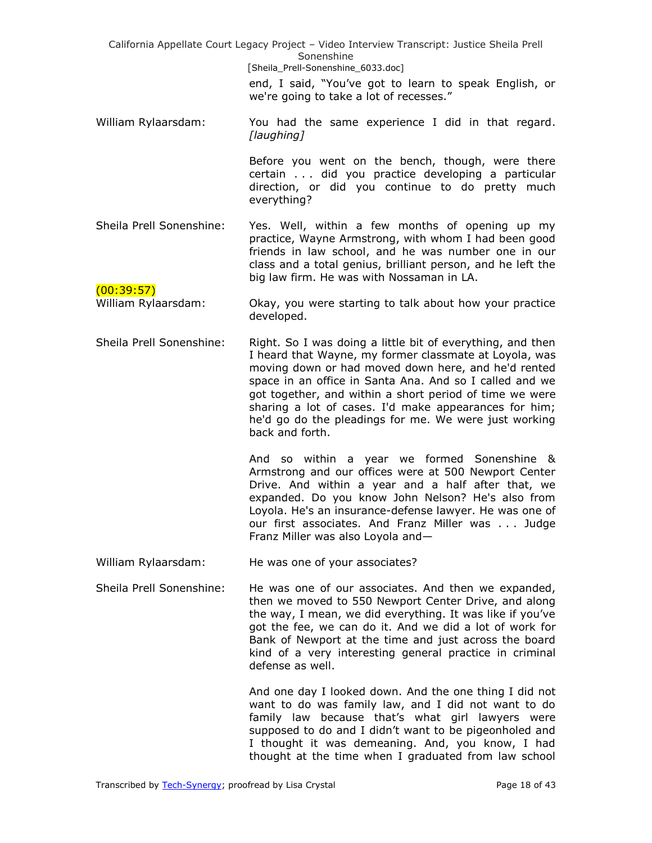| California Appellate Court Legacy Project - Video Interview Transcript: Justice Sheila Prell<br>Sonenshine |                                                                                                                                                                                                                                                                                                                                                                                                                                        |
|------------------------------------------------------------------------------------------------------------|----------------------------------------------------------------------------------------------------------------------------------------------------------------------------------------------------------------------------------------------------------------------------------------------------------------------------------------------------------------------------------------------------------------------------------------|
|                                                                                                            | [Sheila_Prell-Sonenshine_6033.doc]                                                                                                                                                                                                                                                                                                                                                                                                     |
|                                                                                                            | end, I said, "You've got to learn to speak English, or<br>we're going to take a lot of recesses."                                                                                                                                                                                                                                                                                                                                      |
| William Rylaarsdam:                                                                                        | You had the same experience I did in that regard.<br>[laughing]                                                                                                                                                                                                                                                                                                                                                                        |
|                                                                                                            | Before you went on the bench, though, were there<br>certain did you practice developing a particular<br>direction, or did you continue to do pretty much<br>everything?                                                                                                                                                                                                                                                                |
| Sheila Prell Sonenshine:                                                                                   | Yes. Well, within a few months of opening up my<br>practice, Wayne Armstrong, with whom I had been good<br>friends in law school, and he was number one in our<br>class and a total genius, brilliant person, and he left the<br>big law firm. He was with Nossaman in LA.                                                                                                                                                             |
| (00:39:57)<br>William Rylaarsdam:                                                                          | Okay, you were starting to talk about how your practice<br>developed.                                                                                                                                                                                                                                                                                                                                                                  |
| Sheila Prell Sonenshine:                                                                                   | Right. So I was doing a little bit of everything, and then<br>I heard that Wayne, my former classmate at Loyola, was<br>moving down or had moved down here, and he'd rented<br>space in an office in Santa Ana. And so I called and we<br>got together, and within a short period of time we were<br>sharing a lot of cases. I'd make appearances for him;<br>he'd go do the pleadings for me. We were just working<br>back and forth. |
|                                                                                                            | And so within a year we formed Sonenshine &<br>Armstrong and our offices were at 500 Newport Center<br>Drive. And within a year and a half after that, we<br>expanded. Do you know John Nelson? He's also from<br>Loyola. He's an insurance-defense lawyer. He was one of<br>our first associates. And Franz Miller was  Judge<br>Franz Miller was also Loyola and-                                                                    |
| William Rylaarsdam:                                                                                        | He was one of your associates?                                                                                                                                                                                                                                                                                                                                                                                                         |
| Sheila Prell Sonenshine:                                                                                   | He was one of our associates. And then we expanded,<br>then we moved to 550 Newport Center Drive, and along<br>the way, I mean, we did everything. It was like if you've<br>got the fee, we can do it. And we did a lot of work for<br>Bank of Newport at the time and just across the board<br>kind of a very interesting general practice in criminal<br>defense as well.                                                            |
|                                                                                                            | And one day I looked down. And the one thing I did not<br>want to do was family law, and I did not want to do<br>family law because that's what girl lawyers were<br>supposed to do and I didn't want to be pigeonholed and                                                                                                                                                                                                            |

Transcribed by [Tech-Synergy;](http://www.tech-synergy.com/) proofread by Lisa Crystal Page 18 of 43

I thought it was demeaning. And, you know, I had thought at the time when I graduated from law school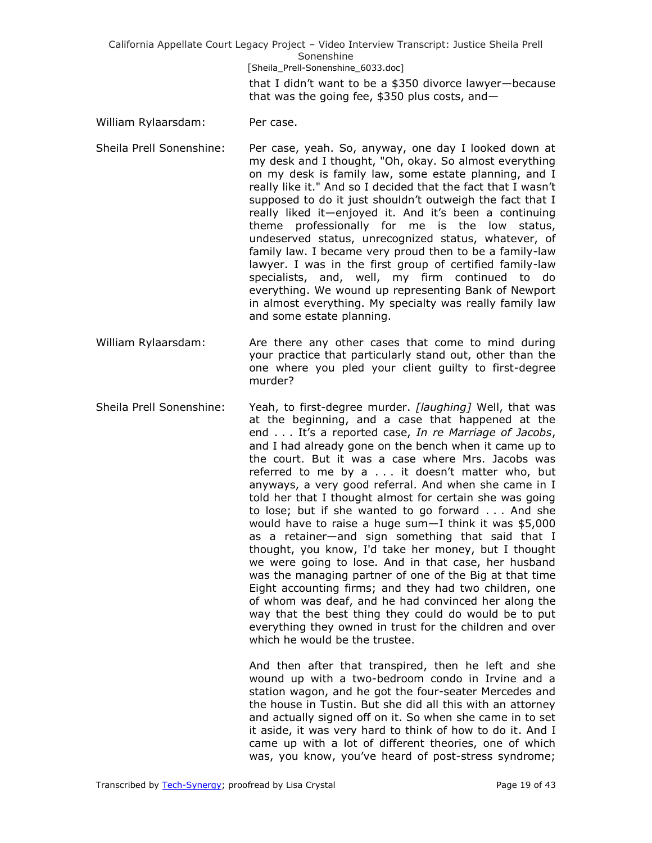California Appellate Court Legacy Project – Video Interview Transcript: Justice Sheila Prell Sonenshine [Sheila\_Prell-Sonenshine\_6033.doc] that I didn't want to be a \$350 divorce lawyer—because that was the going fee, \$350 plus costs, and—

- William Rylaarsdam: Per case.
- Sheila Prell Sonenshine: Per case, yeah. So, anyway, one day I looked down at my desk and I thought, "Oh, okay. So almost everything on my desk is family law, some estate planning, and I really like it." And so I decided that the fact that I wasn't supposed to do it just shouldn't outweigh the fact that I really liked it—enjoyed it. And it's been a continuing theme professionally for me is the low status, undeserved status, unrecognized status, whatever, of family law. I became very proud then to be a family-law lawyer. I was in the first group of certified family-law specialists, and, well, my firm continued to do everything. We wound up representing Bank of Newport in almost everything. My specialty was really family law and some estate planning.
- William Rylaarsdam: Are there any other cases that come to mind during your practice that particularly stand out, other than the one where you pled your client guilty to first-degree murder?
- Sheila Prell Sonenshine: Yeah, to first-degree murder. *[laughing]* Well, that was at the beginning, and a case that happened at the end . . . It's a reported case, *In re Marriage of Jacobs*, and I had already gone on the bench when it came up to the court. But it was a case where Mrs. Jacobs was referred to me by a . . . it doesn't matter who, but anyways, a very good referral. And when she came in I told her that I thought almost for certain she was going to lose; but if she wanted to go forward . . . And she would have to raise a huge sum—I think it was \$5,000 as a retainer—and sign something that said that I thought, you know, I'd take her money, but I thought we were going to lose. And in that case, her husband was the managing partner of one of the Big at that time Eight accounting firms; and they had two children, one of whom was deaf, and he had convinced her along the way that the best thing they could do would be to put everything they owned in trust for the children and over which he would be the trustee.

And then after that transpired, then he left and she wound up with a two-bedroom condo in Irvine and a station wagon, and he got the four-seater Mercedes and the house in Tustin. But she did all this with an attorney and actually signed off on it. So when she came in to set it aside, it was very hard to think of how to do it. And I came up with a lot of different theories, one of which was, you know, you've heard of post-stress syndrome;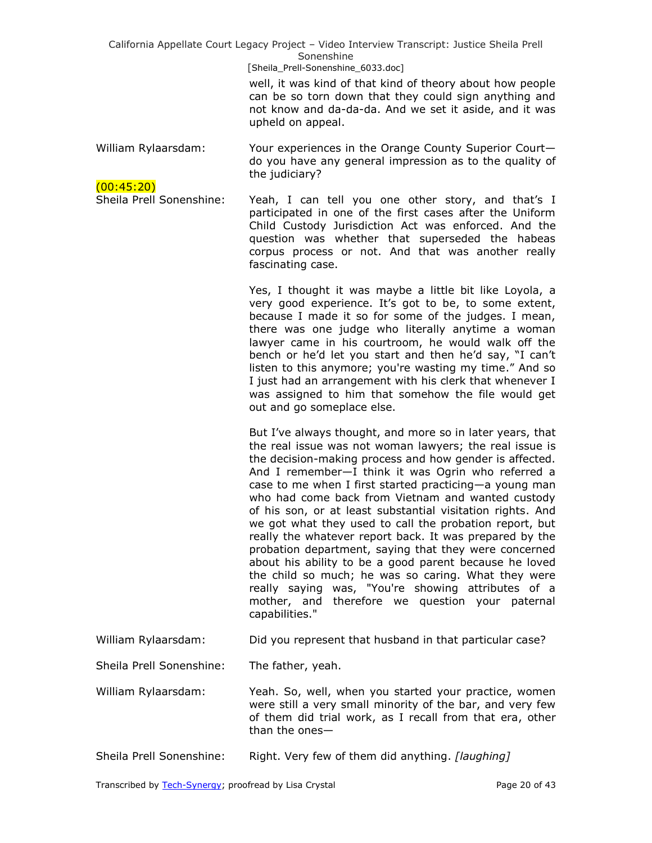[Sheila\_Prell-Sonenshine\_6033.doc]

well, it was kind of that kind of theory about how people can be so torn down that they could sign anything and not know and da-da-da. And we set it aside, and it was upheld on appeal.

William Rylaarsdam: Your experiences in the Orange County Superior Court do you have any general impression as to the quality of the judiciary?

(00:45:20) Sheila Prell Sonenshine: Yeah, I can tell you one other story, and that's I participated in one of the first cases after the Uniform Child Custody Jurisdiction Act was enforced. And the question was whether that superseded the habeas corpus process or not. And that was another really fascinating case.

> Yes, I thought it was maybe a little bit like Loyola, a very good experience. It's got to be, to some extent, because I made it so for some of the judges. I mean, there was one judge who literally anytime a woman lawyer came in his courtroom, he would walk off the bench or he'd let you start and then he'd say, "I can't listen to this anymore; you're wasting my time." And so I just had an arrangement with his clerk that whenever I was assigned to him that somehow the file would get out and go someplace else.

> But I've always thought, and more so in later years, that the real issue was not woman lawyers; the real issue is the decision-making process and how gender is affected. And I remember—I think it was Ogrin who referred a case to me when I first started practicing—a young man who had come back from Vietnam and wanted custody of his son, or at least substantial visitation rights. And we got what they used to call the probation report, but really the whatever report back. It was prepared by the probation department, saying that they were concerned about his ability to be a good parent because he loved the child so much; he was so caring. What they were really saying was, "You're showing attributes of a mother, and therefore we question your paternal capabilities."

William Rylaarsdam: Did you represent that husband in that particular case?

Sheila Prell Sonenshine: The father, yeah.

William Rylaarsdam: Yeah. So, well, when you started your practice, women were still a very small minority of the bar, and very few of them did trial work, as I recall from that era, other than the ones—

Sheila Prell Sonenshine: Right. Very few of them did anything. *[laughing]*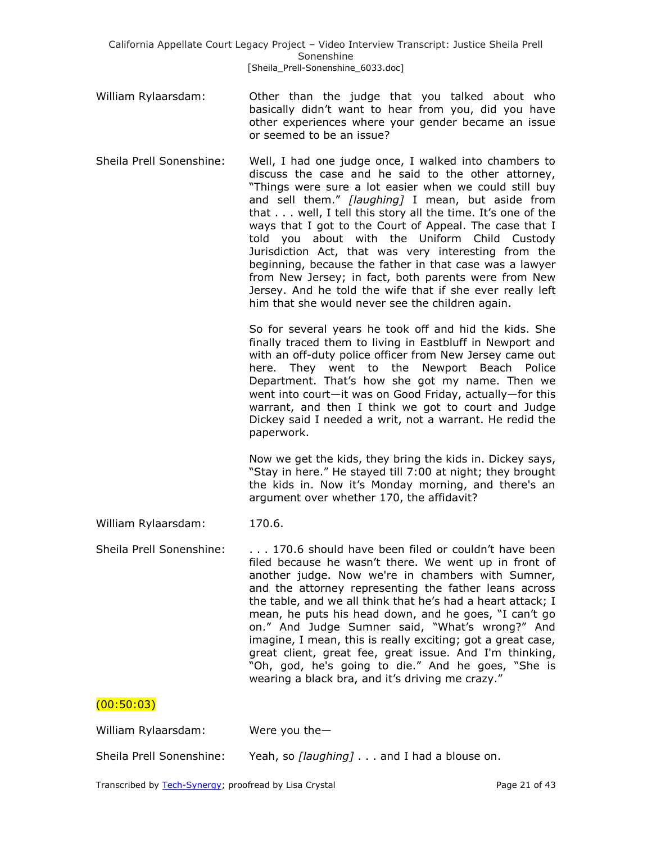- William Rylaarsdam: Other than the judge that you talked about who basically didn't want to hear from you, did you have other experiences where your gender became an issue or seemed to be an issue?
- Sheila Prell Sonenshine: Well, I had one judge once, I walked into chambers to discuss the case and he said to the other attorney, "Things were sure a lot easier when we could still buy and sell them.‖ *[laughing]* I mean, but aside from that . . . well, I tell this story all the time. It's one of the ways that I got to the Court of Appeal. The case that I told you about with the Uniform Child Custody Jurisdiction Act, that was very interesting from the beginning, because the father in that case was a lawyer from New Jersey; in fact, both parents were from New Jersey. And he told the wife that if she ever really left him that she would never see the children again.

So for several years he took off and hid the kids. She finally traced them to living in Eastbluff in Newport and with an off-duty police officer from New Jersey came out here. They went to the Newport Beach Police Department. That's how she got my name. Then we went into court—it was on Good Friday, actually—for this warrant, and then I think we got to court and Judge Dickey said I needed a writ, not a warrant. He redid the paperwork.

Now we get the kids, they bring the kids in. Dickey says, "Stay in here." He stayed till 7:00 at night; they brought the kids in. Now it's Monday morning, and there's an argument over whether 170, the affidavit?

William Rylaarsdam: 170.6.

Sheila Prell Sonenshine: . . . . 170.6 should have been filed or couldn't have been filed because he wasn't there. We went up in front of another judge. Now we're in chambers with Sumner, and the attorney representing the father leans across the table, and we all think that he's had a heart attack; I mean, he puts his head down, and he goes, "I can't go on." And Judge Sumner said, "What's wrong?" And imagine, I mean, this is really exciting; got a great case, great client, great fee, great issue. And I'm thinking, "Oh, god, he's going to die." And he goes, "She is wearing a black bra, and it's driving me crazy."

# $(00:50:03)$

| William Rylaarsdam:      | Were you the $-$                                  |
|--------------------------|---------------------------------------------------|
| Sheila Prell Sonenshine: | Yeah, so <i>[laughing]</i> and I had a blouse on. |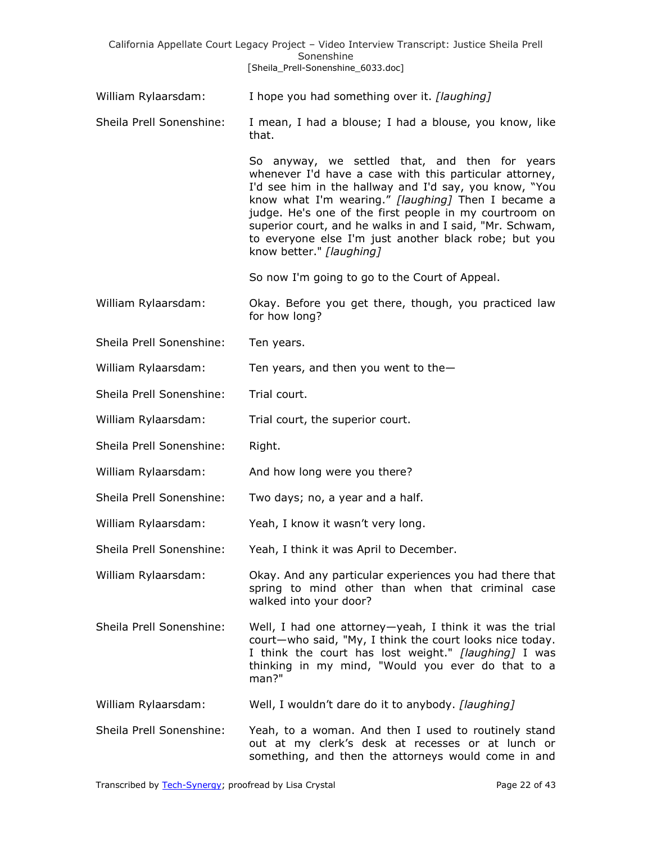|                          | California Appellate Court Legacy Project - Video Interview Transcript: Justice Sheila Prell<br>Sonenshine                                                                                                                                                                                                                                                                                                                           |
|--------------------------|--------------------------------------------------------------------------------------------------------------------------------------------------------------------------------------------------------------------------------------------------------------------------------------------------------------------------------------------------------------------------------------------------------------------------------------|
|                          | [Sheila_Prell-Sonenshine_6033.doc]                                                                                                                                                                                                                                                                                                                                                                                                   |
| William Rylaarsdam:      | I hope you had something over it. [laughing]                                                                                                                                                                                                                                                                                                                                                                                         |
| Sheila Prell Sonenshine: | I mean, I had a blouse; I had a blouse, you know, like<br>that.                                                                                                                                                                                                                                                                                                                                                                      |
|                          | So anyway, we settled that, and then for years<br>whenever I'd have a case with this particular attorney,<br>I'd see him in the hallway and I'd say, you know, "You<br>know what I'm wearing." [laughing] Then I became a<br>judge. He's one of the first people in my courtroom on<br>superior court, and he walks in and I said, "Mr. Schwam,<br>to everyone else I'm just another black robe; but you<br>know better." [laughing] |
|                          | So now I'm going to go to the Court of Appeal.                                                                                                                                                                                                                                                                                                                                                                                       |
| William Rylaarsdam:      | Okay. Before you get there, though, you practiced law<br>for how long?                                                                                                                                                                                                                                                                                                                                                               |
| Sheila Prell Sonenshine: | Ten years.                                                                                                                                                                                                                                                                                                                                                                                                                           |
| William Rylaarsdam:      | Ten years, and then you went to the $-$                                                                                                                                                                                                                                                                                                                                                                                              |
| Sheila Prell Sonenshine: | Trial court.                                                                                                                                                                                                                                                                                                                                                                                                                         |
| William Rylaarsdam:      | Trial court, the superior court.                                                                                                                                                                                                                                                                                                                                                                                                     |
| Sheila Prell Sonenshine: | Right.                                                                                                                                                                                                                                                                                                                                                                                                                               |
| William Rylaarsdam:      | And how long were you there?                                                                                                                                                                                                                                                                                                                                                                                                         |
| Sheila Prell Sonenshine: | Two days; no, a year and a half.                                                                                                                                                                                                                                                                                                                                                                                                     |
| William Rylaarsdam:      | Yeah, I know it wasn't very long.                                                                                                                                                                                                                                                                                                                                                                                                    |
| Sheila Prell Sonenshine: | Yeah, I think it was April to December.                                                                                                                                                                                                                                                                                                                                                                                              |
| William Rylaarsdam:      | Okay. And any particular experiences you had there that<br>spring to mind other than when that criminal case<br>walked into your door?                                                                                                                                                                                                                                                                                               |
| Sheila Prell Sonenshine: | Well, I had one attorney-yeah, I think it was the trial<br>court-who said, "My, I think the court looks nice today.<br>I think the court has lost weight." [laughing] I was<br>thinking in my mind, "Would you ever do that to a<br>man?"                                                                                                                                                                                            |
| William Rylaarsdam:      | Well, I wouldn't dare do it to anybody. [laughing]                                                                                                                                                                                                                                                                                                                                                                                   |
| Sheila Prell Sonenshine: | Yeah, to a woman. And then I used to routinely stand<br>out at my clerk's desk at recesses or at lunch or<br>something, and then the attorneys would come in and                                                                                                                                                                                                                                                                     |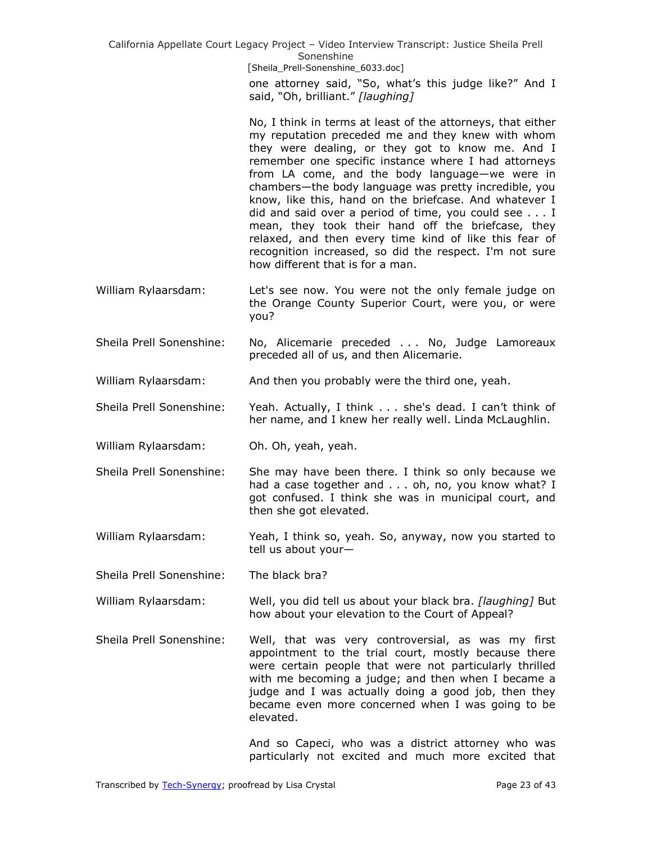> one attorney said, "So, what's this judge like?" And I said, "Oh, brilliant." [laughing]

> No, I think in terms at least of the attorneys, that either my reputation preceded me and they knew with whom they were dealing, or they got to know me. And I remember one specific instance where I had attorneys from LA come, and the body language—we were in chambers—the body language was pretty incredible, you know, like this, hand on the briefcase. And whatever I did and said over a period of time, you could see . . . I mean, they took their hand off the briefcase, they relaxed, and then every time kind of like this fear of recognition increased, so did the respect. I'm not sure how different that is for a man.

- William Rylaarsdam: Let's see now. You were not the only female judge on the Orange County Superior Court, were you, or were you?
- Sheila Prell Sonenshine: No, Alicemarie preceded . . . No, Judge Lamoreaux preceded all of us, and then Alicemarie.
- William Rylaarsdam: And then you probably were the third one, yeah.
- Sheila Prell Sonenshine: Yeah. Actually, I think . . . she's dead. I can't think of her name, and I knew her really well. Linda McLaughlin.
- William Rylaarsdam: Oh. Oh, yeah, yeah.
- Sheila Prell Sonenshine: She may have been there. I think so only because we had a case together and . . . oh, no, you know what? I got confused. I think she was in municipal court, and then she got elevated.
- William Rylaarsdam: Yeah, I think so, yeah. So, anyway, now you started to tell us about your—

Sheila Prell Sonenshine: The black bra?

- William Rylaarsdam: Well, you did tell us about your black bra. *[laughing]* But how about your elevation to the Court of Appeal?
- Sheila Prell Sonenshine: Well, that was very controversial, as was my first appointment to the trial court, mostly because there were certain people that were not particularly thrilled with me becoming a judge; and then when I became a judge and I was actually doing a good job, then they became even more concerned when I was going to be elevated.

And so Capeci, who was a district attorney who was particularly not excited and much more excited that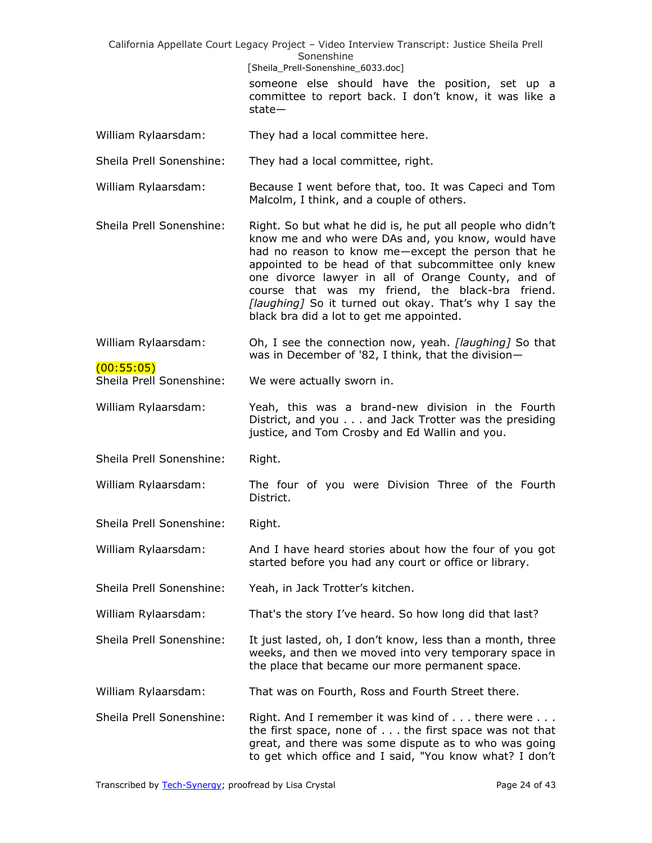|                                   | California Appellate Court Legacy Project - Video Interview Transcript: Justice Sheila Prell<br>Sonenshine                                                                                                                                                                                                                                                                                                                                    |
|-----------------------------------|-----------------------------------------------------------------------------------------------------------------------------------------------------------------------------------------------------------------------------------------------------------------------------------------------------------------------------------------------------------------------------------------------------------------------------------------------|
|                                   | [Sheila_Prell-Sonenshine_6033.doc]                                                                                                                                                                                                                                                                                                                                                                                                            |
|                                   | someone else should have the position, set up a                                                                                                                                                                                                                                                                                                                                                                                               |
|                                   | committee to report back. I don't know, it was like a<br>$state-$                                                                                                                                                                                                                                                                                                                                                                             |
| William Rylaarsdam:               | They had a local committee here.                                                                                                                                                                                                                                                                                                                                                                                                              |
| Sheila Prell Sonenshine:          | They had a local committee, right.                                                                                                                                                                                                                                                                                                                                                                                                            |
| William Rylaarsdam:               | Because I went before that, too. It was Capeci and Tom<br>Malcolm, I think, and a couple of others.                                                                                                                                                                                                                                                                                                                                           |
| Sheila Prell Sonenshine:          | Right. So but what he did is, he put all people who didn't<br>know me and who were DAs and, you know, would have<br>had no reason to know me-except the person that he<br>appointed to be head of that subcommittee only knew<br>one divorce lawyer in all of Orange County, and of<br>course that was my friend, the black-bra friend.<br>[laughing] So it turned out okay. That's why I say the<br>black bra did a lot to get me appointed. |
| William Rylaarsdam:<br>(00:55:05) | Oh, I see the connection now, yeah. [laughing] So that<br>was in December of '82, I think, that the division-                                                                                                                                                                                                                                                                                                                                 |
| Sheila Prell Sonenshine:          | We were actually sworn in.                                                                                                                                                                                                                                                                                                                                                                                                                    |
| William Rylaarsdam:               | Yeah, this was a brand-new division in the Fourth<br>District, and you and Jack Trotter was the presiding<br>justice, and Tom Crosby and Ed Wallin and you.                                                                                                                                                                                                                                                                                   |
| Sheila Prell Sonenshine:          | Right.                                                                                                                                                                                                                                                                                                                                                                                                                                        |
| William Rylaarsdam:               | The four of you were Division Three of the Fourth<br>District.                                                                                                                                                                                                                                                                                                                                                                                |
| Sheila Prell Sonenshine:          | Right.                                                                                                                                                                                                                                                                                                                                                                                                                                        |
| William Rylaarsdam:               | And I have heard stories about how the four of you got<br>started before you had any court or office or library.                                                                                                                                                                                                                                                                                                                              |
| Sheila Prell Sonenshine:          | Yeah, in Jack Trotter's kitchen.                                                                                                                                                                                                                                                                                                                                                                                                              |
| William Rylaarsdam:               | That's the story I've heard. So how long did that last?                                                                                                                                                                                                                                                                                                                                                                                       |
| Sheila Prell Sonenshine:          | It just lasted, oh, I don't know, less than a month, three<br>weeks, and then we moved into very temporary space in<br>the place that became our more permanent space.                                                                                                                                                                                                                                                                        |
| William Rylaarsdam:               | That was on Fourth, Ross and Fourth Street there.                                                                                                                                                                                                                                                                                                                                                                                             |
| Sheila Prell Sonenshine:          | Right. And I remember it was kind of there were<br>the first space, none of $\ldots$ the first space was not that<br>great, and there was some dispute as to who was going<br>to get which office and I said, "You know what? I don't                                                                                                                                                                                                         |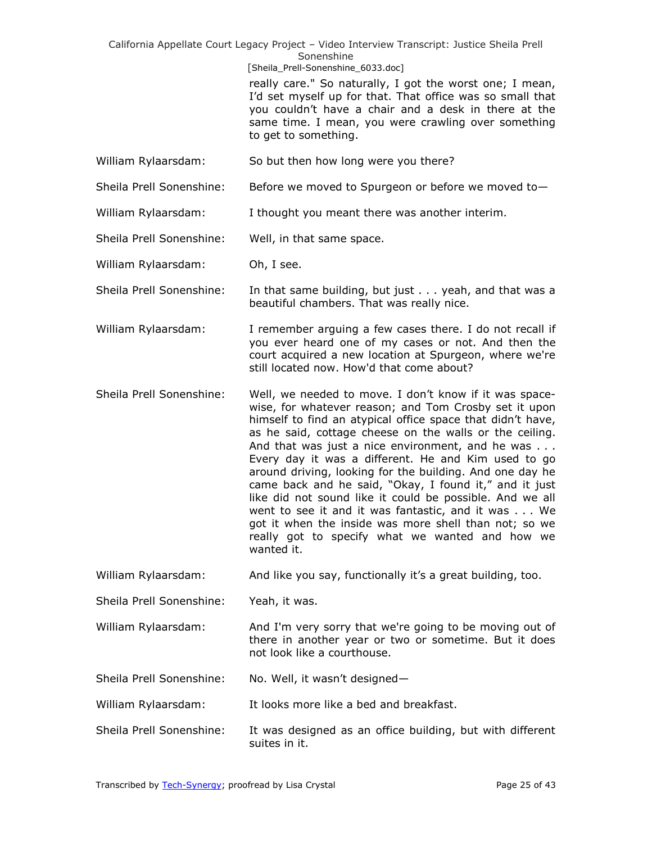[Sheila\_Prell-Sonenshine\_6033.doc]

really care." So naturally, I got the worst one; I mean, I'd set myself up for that. That office was so small that you couldn't have a chair and a desk in there at the same time. I mean, you were crawling over something to get to something.

- William Rylaarsdam: So but then how long were you there?
- Sheila Prell Sonenshine: Before we moved to Spurgeon or before we moved to-
- William Rylaarsdam: I thought you meant there was another interim.
- Sheila Prell Sonenshine: Well, in that same space.
- William Rylaarsdam: Oh, I see.
- Sheila Prell Sonenshine: In that same building, but just . . . yeah, and that was a beautiful chambers. That was really nice.
- William Rylaarsdam: I remember arguing a few cases there. I do not recall if you ever heard one of my cases or not. And then the court acquired a new location at Spurgeon, where we're still located now. How'd that come about?
- Sheila Prell Sonenshine: Well, we needed to move. I don't know if it was spacewise, for whatever reason; and Tom Crosby set it upon himself to find an atypical office space that didn't have, as he said, cottage cheese on the walls or the ceiling. And that was just a nice environment, and he was . . . Every day it was a different. He and Kim used to go around driving, looking for the building. And one day he came back and he said, "Okay, I found it," and it just like did not sound like it could be possible. And we all went to see it and it was fantastic, and it was . . . We got it when the inside was more shell than not; so we really got to specify what we wanted and how we wanted it.
- William Rylaarsdam: And like you say, functionally it's a great building, too.
- Sheila Prell Sonenshine: Yeah, it was.
- William Rylaarsdam: And I'm very sorry that we're going to be moving out of there in another year or two or sometime. But it does not look like a courthouse.
- Sheila Prell Sonenshine: No. Well, it wasn't designed-
- William Rylaarsdam: It looks more like a bed and breakfast.
- Sheila Prell Sonenshine: It was designed as an office building, but with different suites in it.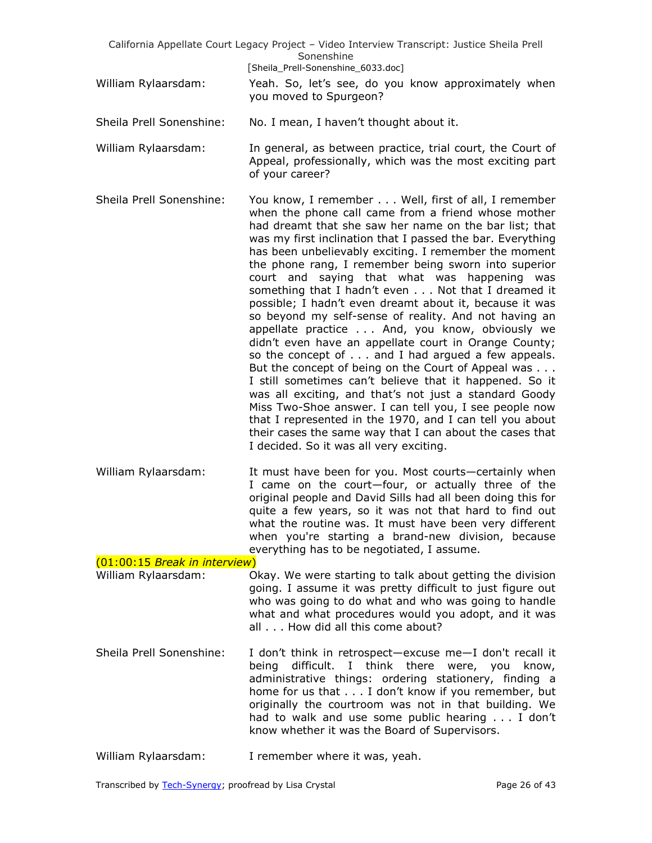|                                                      | California Appellate Court Legacy Project - Video Interview Transcript: Justice Sheila Prell<br>Sonenshine                                                                                                                                                                                                                                                                                                                                                                                                                                                                                                                                                                                                                                                                                                                                                                                                                                                                                                                                                                                                                                             |
|------------------------------------------------------|--------------------------------------------------------------------------------------------------------------------------------------------------------------------------------------------------------------------------------------------------------------------------------------------------------------------------------------------------------------------------------------------------------------------------------------------------------------------------------------------------------------------------------------------------------------------------------------------------------------------------------------------------------------------------------------------------------------------------------------------------------------------------------------------------------------------------------------------------------------------------------------------------------------------------------------------------------------------------------------------------------------------------------------------------------------------------------------------------------------------------------------------------------|
|                                                      | [Sheila_Prell-Sonenshine_6033.doc]                                                                                                                                                                                                                                                                                                                                                                                                                                                                                                                                                                                                                                                                                                                                                                                                                                                                                                                                                                                                                                                                                                                     |
| William Rylaarsdam:                                  | Yeah. So, let's see, do you know approximately when<br>you moved to Spurgeon?                                                                                                                                                                                                                                                                                                                                                                                                                                                                                                                                                                                                                                                                                                                                                                                                                                                                                                                                                                                                                                                                          |
| Sheila Prell Sonenshine:                             | No. I mean, I haven't thought about it.                                                                                                                                                                                                                                                                                                                                                                                                                                                                                                                                                                                                                                                                                                                                                                                                                                                                                                                                                                                                                                                                                                                |
| William Rylaarsdam:                                  | In general, as between practice, trial court, the Court of<br>Appeal, professionally, which was the most exciting part<br>of your career?                                                                                                                                                                                                                                                                                                                                                                                                                                                                                                                                                                                                                                                                                                                                                                                                                                                                                                                                                                                                              |
| Sheila Prell Sonenshine:                             | You know, I remember Well, first of all, I remember<br>when the phone call came from a friend whose mother<br>had dreamt that she saw her name on the bar list; that<br>was my first inclination that I passed the bar. Everything<br>has been unbelievably exciting. I remember the moment<br>the phone rang, I remember being sworn into superior<br>court and saying that what was happening was<br>something that I hadn't even Not that I dreamed it<br>possible; I hadn't even dreamt about it, because it was<br>so beyond my self-sense of reality. And not having an<br>appellate practice And, you know, obviously we<br>didn't even have an appellate court in Orange County;<br>so the concept of and I had argued a few appeals.<br>But the concept of being on the Court of Appeal was<br>I still sometimes can't believe that it happened. So it<br>was all exciting, and that's not just a standard Goody<br>Miss Two-Shoe answer. I can tell you, I see people now<br>that I represented in the 1970, and I can tell you about<br>their cases the same way that I can about the cases that<br>I decided. So it was all very exciting. |
| William Rylaarsdam:                                  | It must have been for you. Most courts-certainly when<br>I came on the court-four, or actually three of the<br>original people and David Sills had all been doing this for<br>quite a few years, so it was not that hard to find out<br>what the routine was. It must have been very different<br>when you're starting a brand-new division, because<br>everything has to be negotiated, I assume.                                                                                                                                                                                                                                                                                                                                                                                                                                                                                                                                                                                                                                                                                                                                                     |
| (01:00:15 Break in interview)<br>William Rylaarsdam: | Okay. We were starting to talk about getting the division                                                                                                                                                                                                                                                                                                                                                                                                                                                                                                                                                                                                                                                                                                                                                                                                                                                                                                                                                                                                                                                                                              |
|                                                      | going. I assume it was pretty difficult to just figure out<br>who was going to do what and who was going to handle<br>what and what procedures would you adopt, and it was<br>all How did all this come about?                                                                                                                                                                                                                                                                                                                                                                                                                                                                                                                                                                                                                                                                                                                                                                                                                                                                                                                                         |
| Sheila Prell Sonenshine:                             | I don't think in retrospect-excuse me-I don't recall it<br>difficult. I think there were, you<br>being<br>know,<br>administrative things: ordering stationery, finding a<br>home for us that I don't know if you remember, but<br>originally the courtroom was not in that building. We<br>had to walk and use some public hearing I don't<br>know whether it was the Board of Supervisors.                                                                                                                                                                                                                                                                                                                                                                                                                                                                                                                                                                                                                                                                                                                                                            |
| William Rylaarsdam:                                  | I remember where it was, yeah.                                                                                                                                                                                                                                                                                                                                                                                                                                                                                                                                                                                                                                                                                                                                                                                                                                                                                                                                                                                                                                                                                                                         |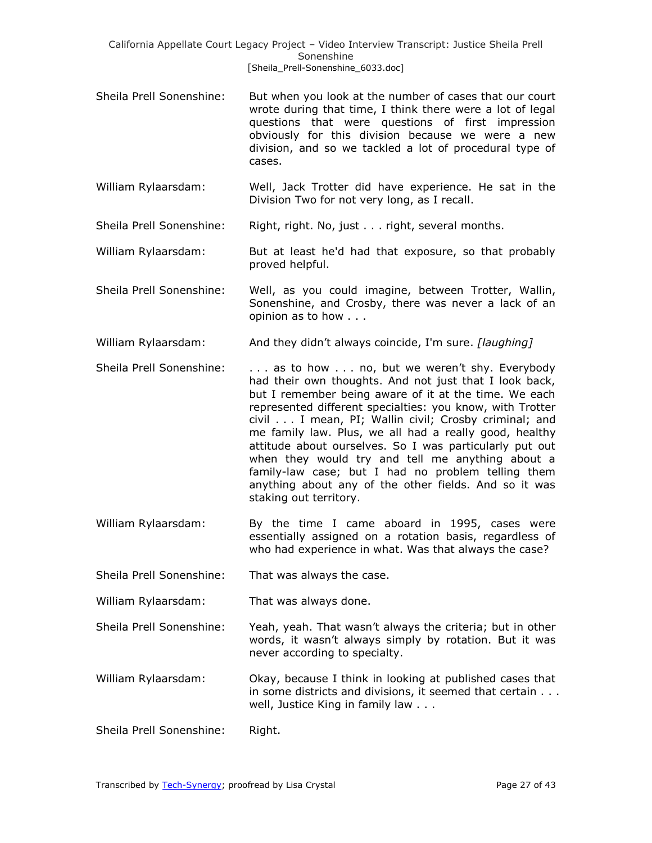- Sheila Prell Sonenshine: But when you look at the number of cases that our court wrote during that time, I think there were a lot of legal questions that were questions of first impression obviously for this division because we were a new division, and so we tackled a lot of procedural type of cases.
- William Rylaarsdam: Well, Jack Trotter did have experience. He sat in the Division Two for not very long, as I recall.

Sheila Prell Sonenshine: Right, right. No, just . . . right, several months.

William Rylaarsdam: But at least he'd had that exposure, so that probably proved helpful.

- Sheila Prell Sonenshine: Well, as you could imagine, between Trotter, Wallin, Sonenshine, and Crosby, there was never a lack of an opinion as to how . . .
- William Rylaarsdam: And they didn't always coincide, I'm sure. *[laughing]*
- Sheila Prell Sonenshine:  $\ldots$  as to how  $\ldots$  no, but we weren't shy. Everybody had their own thoughts. And not just that I look back, but I remember being aware of it at the time. We each represented different specialties: you know, with Trotter civil . . . I mean, PI; Wallin civil; Crosby criminal; and me family law. Plus, we all had a really good, healthy attitude about ourselves. So I was particularly put out when they would try and tell me anything about a family-law case; but I had no problem telling them anything about any of the other fields. And so it was staking out territory.
- William Rylaarsdam: By the time I came aboard in 1995, cases were essentially assigned on a rotation basis, regardless of who had experience in what. Was that always the case?

Sheila Prell Sonenshine: That was always the case.

William Rylaarsdam: That was always done.

- Sheila Prell Sonenshine: Yeah, yeah. That wasn't always the criteria; but in other words, it wasn't always simply by rotation. But it was never according to specialty.
- William Rylaarsdam: Okay, because I think in looking at published cases that in some districts and divisions, it seemed that certain . . . well, Justice King in family law . . .

Sheila Prell Sonenshine: Right.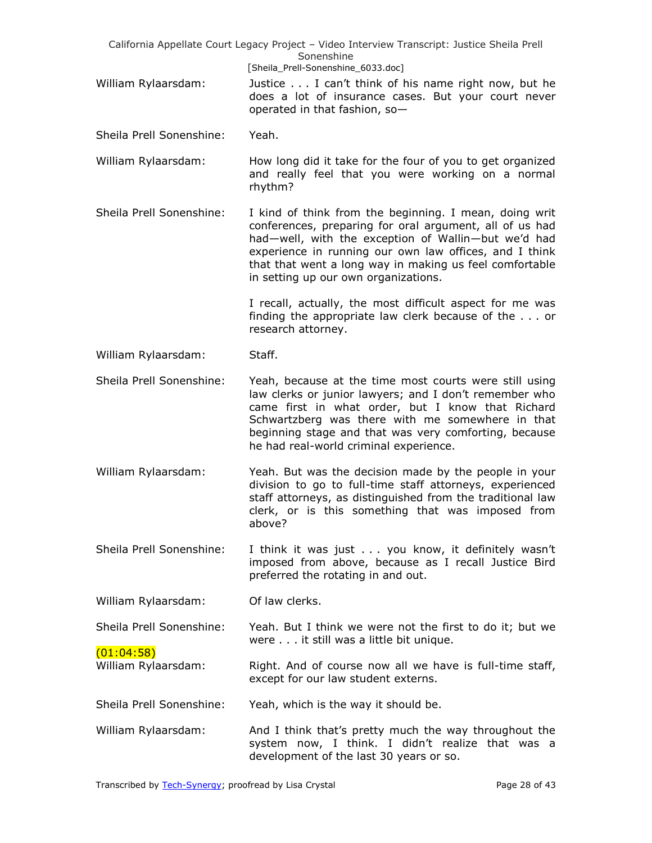| California Appellate Court Legacy Project - Video Interview Transcript: Justice Sheila Prell<br>Sonenshine |                                                                                                                                                                                                                                                                                                                                       |
|------------------------------------------------------------------------------------------------------------|---------------------------------------------------------------------------------------------------------------------------------------------------------------------------------------------------------------------------------------------------------------------------------------------------------------------------------------|
| William Rylaarsdam:                                                                                        | [Sheila_Prell-Sonenshine_6033.doc]<br>Justice I can't think of his name right now, but he<br>does a lot of insurance cases. But your court never<br>operated in that fashion, so-                                                                                                                                                     |
| Sheila Prell Sonenshine:                                                                                   | Yeah.                                                                                                                                                                                                                                                                                                                                 |
| William Rylaarsdam:                                                                                        | How long did it take for the four of you to get organized<br>and really feel that you were working on a normal<br>rhythm?                                                                                                                                                                                                             |
| Sheila Prell Sonenshine:                                                                                   | I kind of think from the beginning. I mean, doing writ<br>conferences, preparing for oral argument, all of us had<br>had-well, with the exception of Wallin-but we'd had<br>experience in running our own law offices, and I think<br>that that went a long way in making us feel comfortable<br>in setting up our own organizations. |
|                                                                                                            | I recall, actually, the most difficult aspect for me was<br>finding the appropriate law clerk because of the $\dots$ or<br>research attorney.                                                                                                                                                                                         |
| William Rylaarsdam:                                                                                        | Staff.                                                                                                                                                                                                                                                                                                                                |
| Sheila Prell Sonenshine:                                                                                   | Yeah, because at the time most courts were still using<br>law clerks or junior lawyers; and I don't remember who<br>came first in what order, but I know that Richard<br>Schwartzberg was there with me somewhere in that<br>beginning stage and that was very comforting, because<br>he had real-world criminal experience.          |
| William Rylaarsdam:                                                                                        | Yeah. But was the decision made by the people in your<br>division to go to full-time staff attorneys, experienced<br>staff attorneys, as distinguished from the traditional law<br>clerk, or is this something that was imposed from<br>above?                                                                                        |
| Sheila Prell Sonenshine:                                                                                   | I think it was just you know, it definitely wasn't<br>imposed from above, because as I recall Justice Bird<br>preferred the rotating in and out.                                                                                                                                                                                      |
| William Rylaarsdam:                                                                                        | Of law clerks.                                                                                                                                                                                                                                                                                                                        |
| Sheila Prell Sonenshine:                                                                                   | Yeah. But I think we were not the first to do it; but we<br>were it still was a little bit unique.                                                                                                                                                                                                                                    |
| (01:04:58)<br>William Rylaarsdam:                                                                          | Right. And of course now all we have is full-time staff,<br>except for our law student externs.                                                                                                                                                                                                                                       |
| Sheila Prell Sonenshine:                                                                                   | Yeah, which is the way it should be.                                                                                                                                                                                                                                                                                                  |
| William Rylaarsdam:                                                                                        | And I think that's pretty much the way throughout the<br>system now, I think. I didn't realize that was a<br>development of the last 30 years or so.                                                                                                                                                                                  |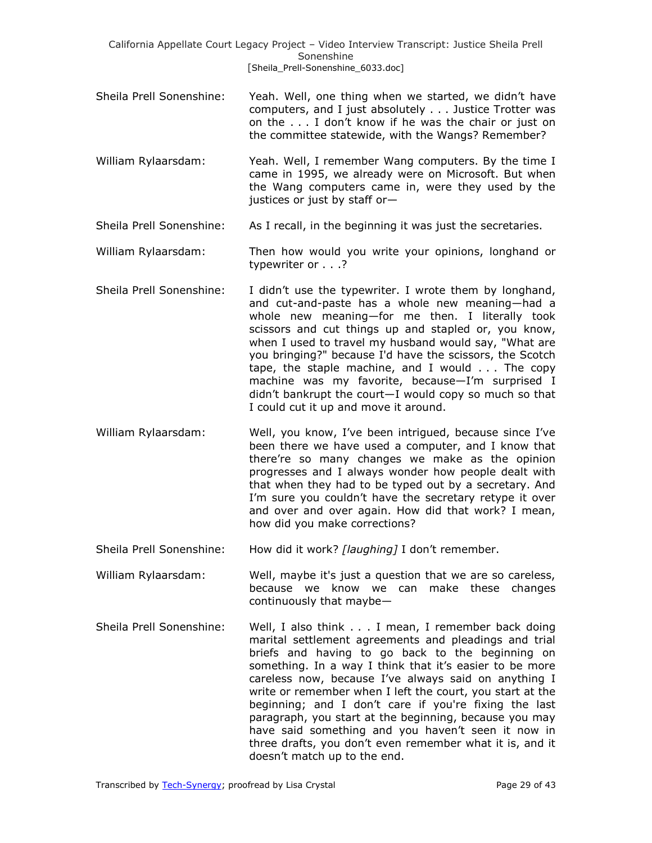- Sheila Prell Sonenshine: Yeah. Well, one thing when we started, we didn't have computers, and I just absolutely . . . Justice Trotter was on the . . . I don't know if he was the chair or just on the committee statewide, with the Wangs? Remember?
- William Rylaarsdam: Yeah. Well, I remember Wang computers. By the time I came in 1995, we already were on Microsoft. But when the Wang computers came in, were they used by the justices or just by staff or—
- Sheila Prell Sonenshine: As I recall, in the beginning it was just the secretaries.
- William Rylaarsdam: Then how would you write your opinions, longhand or typewriter or . . .?
- Sheila Prell Sonenshine: I didn't use the typewriter. I wrote them by longhand, and cut-and-paste has a whole new meaning—had a whole new meaning—for me then. I literally took scissors and cut things up and stapled or, you know, when I used to travel my husband would say, "What are you bringing?" because I'd have the scissors, the Scotch tape, the staple machine, and I would . . . The copy machine was my favorite, because—I'm surprised I didn't bankrupt the court—I would copy so much so that I could cut it up and move it around.
- William Rylaarsdam: Well, you know, I've been intrigued, because since I've been there we have used a computer, and I know that there're so many changes we make as the opinion progresses and I always wonder how people dealt with that when they had to be typed out by a secretary. And I'm sure you couldn't have the secretary retype it over and over and over again. How did that work? I mean, how did you make corrections?
- Sheila Prell Sonenshine: How did it work? *[laughing]* I don't remember.

William Rylaarsdam: Well, maybe it's just a question that we are so careless, because we know we can make these changes continuously that maybe—

Sheila Prell Sonenshine: Well, I also think . . . I mean, I remember back doing marital settlement agreements and pleadings and trial briefs and having to go back to the beginning on something. In a way I think that it's easier to be more careless now, because I've always said on anything I write or remember when I left the court, you start at the beginning; and I don't care if you're fixing the last paragraph, you start at the beginning, because you may have said something and you haven't seen it now in three drafts, you don't even remember what it is, and it doesn't match up to the end.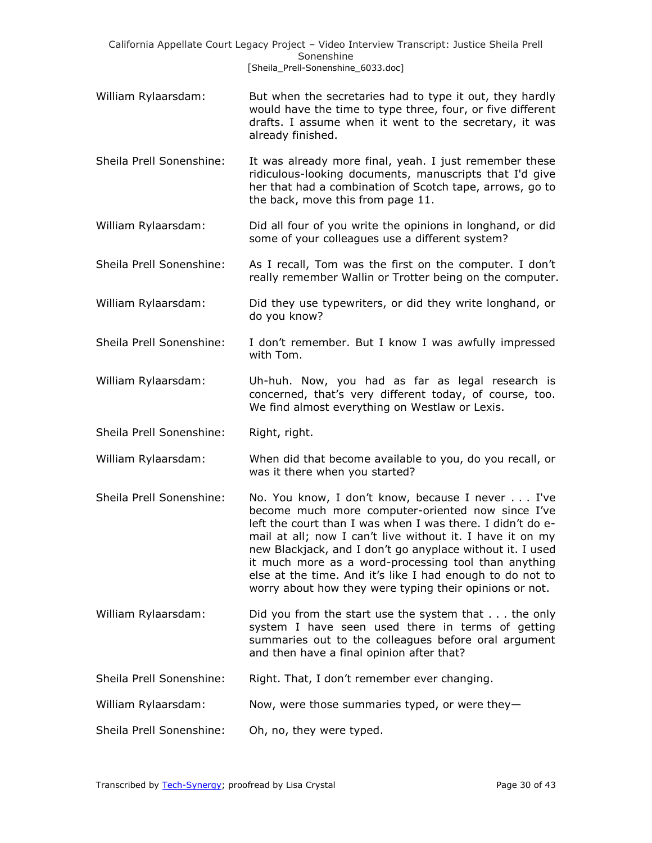|                          | California Appellate Court Legacy Project - Video Interview Transcript: Justice Sheila Prell<br>Sonenshine<br>[Sheila_Prell-Sonenshine_6033.doc]                                                                                                                                                                                                                                                                                                                              |
|--------------------------|-------------------------------------------------------------------------------------------------------------------------------------------------------------------------------------------------------------------------------------------------------------------------------------------------------------------------------------------------------------------------------------------------------------------------------------------------------------------------------|
| William Rylaarsdam:      | But when the secretaries had to type it out, they hardly<br>would have the time to type three, four, or five different<br>drafts. I assume when it went to the secretary, it was<br>already finished.                                                                                                                                                                                                                                                                         |
| Sheila Prell Sonenshine: | It was already more final, yeah. I just remember these<br>ridiculous-looking documents, manuscripts that I'd give<br>her that had a combination of Scotch tape, arrows, go to<br>the back, move this from page 11.                                                                                                                                                                                                                                                            |
| William Rylaarsdam:      | Did all four of you write the opinions in longhand, or did<br>some of your colleagues use a different system?                                                                                                                                                                                                                                                                                                                                                                 |
| Sheila Prell Sonenshine: | As I recall, Tom was the first on the computer. I don't<br>really remember Wallin or Trotter being on the computer.                                                                                                                                                                                                                                                                                                                                                           |
| William Rylaarsdam:      | Did they use typewriters, or did they write longhand, or<br>do you know?                                                                                                                                                                                                                                                                                                                                                                                                      |
| Sheila Prell Sonenshine: | I don't remember. But I know I was awfully impressed<br>with Tom.                                                                                                                                                                                                                                                                                                                                                                                                             |
| William Rylaarsdam:      | Uh-huh. Now, you had as far as legal research is<br>concerned, that's very different today, of course, too.<br>We find almost everything on Westlaw or Lexis.                                                                                                                                                                                                                                                                                                                 |
| Sheila Prell Sonenshine: | Right, right.                                                                                                                                                                                                                                                                                                                                                                                                                                                                 |
| William Rylaarsdam:      | When did that become available to you, do you recall, or<br>was it there when you started?                                                                                                                                                                                                                                                                                                                                                                                    |
| Sheila Prell Sonenshine: | No. You know, I don't know, because I never I've<br>become much more computer-oriented now since I've<br>left the court than I was when I was there. I didn't do e-<br>mail at all; now I can't live without it. I have it on my<br>new Blackjack, and I don't go anyplace without it. I used<br>it much more as a word-processing tool than anything<br>else at the time. And it's like I had enough to do not to<br>worry about how they were typing their opinions or not. |
| William Rylaarsdam:      | Did you from the start use the system that $\ldots$ the only<br>system I have seen used there in terms of getting<br>summaries out to the colleagues before oral argument<br>and then have a final opinion after that?                                                                                                                                                                                                                                                        |
| Sheila Prell Sonenshine: | Right. That, I don't remember ever changing.                                                                                                                                                                                                                                                                                                                                                                                                                                  |
| William Rylaarsdam:      | Now, were those summaries typed, or were they-                                                                                                                                                                                                                                                                                                                                                                                                                                |
| Sheila Prell Sonenshine: | Oh, no, they were typed.                                                                                                                                                                                                                                                                                                                                                                                                                                                      |
|                          |                                                                                                                                                                                                                                                                                                                                                                                                                                                                               |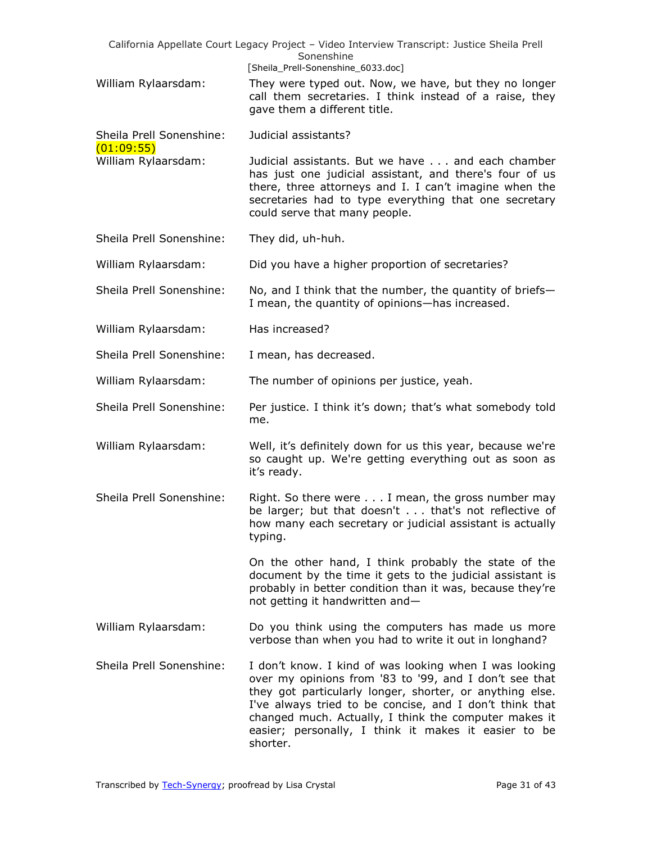|                                        | California Appellate Court Legacy Project - Video Interview Transcript: Justice Sheila Prell<br>Sonenshine                                                                                                                                                                                                                                                           |
|----------------------------------------|----------------------------------------------------------------------------------------------------------------------------------------------------------------------------------------------------------------------------------------------------------------------------------------------------------------------------------------------------------------------|
| William Rylaarsdam:                    | [Sheila_Prell-Sonenshine_6033.doc]<br>They were typed out. Now, we have, but they no longer<br>call them secretaries. I think instead of a raise, they<br>gave them a different title.                                                                                                                                                                               |
| Sheila Prell Sonenshine:<br>(01:09:55) | Judicial assistants?                                                                                                                                                                                                                                                                                                                                                 |
| William Rylaarsdam:                    | Judicial assistants. But we have and each chamber<br>has just one judicial assistant, and there's four of us<br>there, three attorneys and I. I can't imagine when the<br>secretaries had to type everything that one secretary<br>could serve that many people.                                                                                                     |
| Sheila Prell Sonenshine:               | They did, uh-huh.                                                                                                                                                                                                                                                                                                                                                    |
| William Rylaarsdam:                    | Did you have a higher proportion of secretaries?                                                                                                                                                                                                                                                                                                                     |
| Sheila Prell Sonenshine:               | No, and I think that the number, the quantity of briefs-<br>I mean, the quantity of opinions-has increased.                                                                                                                                                                                                                                                          |
| William Rylaarsdam:                    | Has increased?                                                                                                                                                                                                                                                                                                                                                       |
| Sheila Prell Sonenshine:               | I mean, has decreased.                                                                                                                                                                                                                                                                                                                                               |
| William Rylaarsdam:                    | The number of opinions per justice, yeah.                                                                                                                                                                                                                                                                                                                            |
| Sheila Prell Sonenshine:               | Per justice. I think it's down; that's what somebody told<br>me.                                                                                                                                                                                                                                                                                                     |
| William Rylaarsdam:                    | Well, it's definitely down for us this year, because we're<br>so caught up. We're getting everything out as soon as<br>it's ready.                                                                                                                                                                                                                                   |
| Sheila Prell Sonenshine:               | Right. So there were $\ldots$ I mean, the gross number may<br>be larger; but that doesn't that's not reflective of<br>how many each secretary or judicial assistant is actually<br>typing.                                                                                                                                                                           |
|                                        | On the other hand, I think probably the state of the<br>document by the time it gets to the judicial assistant is<br>probably in better condition than it was, because they're<br>not getting it handwritten and-                                                                                                                                                    |
| William Rylaarsdam:                    | Do you think using the computers has made us more<br>verbose than when you had to write it out in longhand?                                                                                                                                                                                                                                                          |
| Sheila Prell Sonenshine:               | I don't know. I kind of was looking when I was looking<br>over my opinions from '83 to '99, and I don't see that<br>they got particularly longer, shorter, or anything else.<br>I've always tried to be concise, and I don't think that<br>changed much. Actually, I think the computer makes it<br>easier; personally, I think it makes it easier to be<br>shorter. |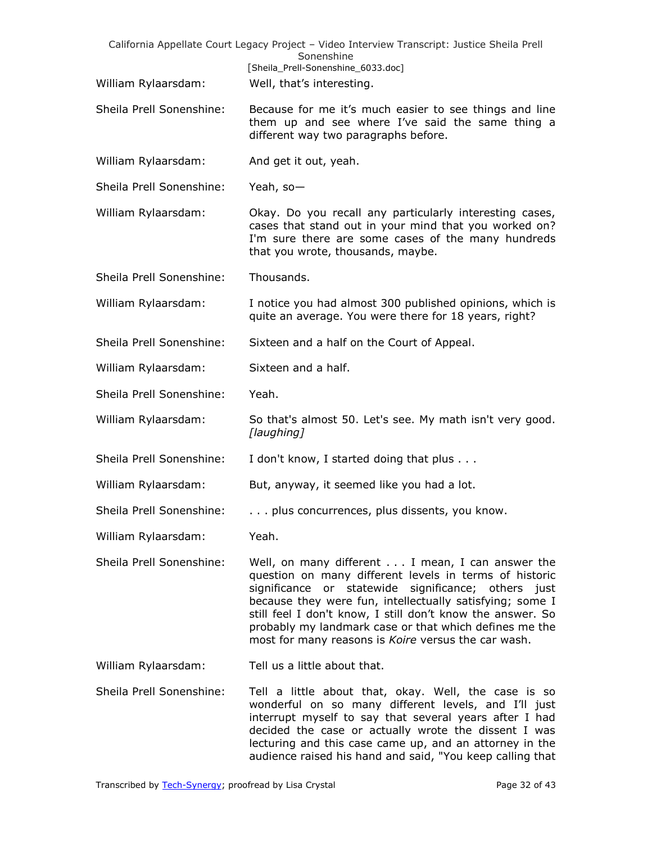|                          | California Appellate Court Legacy Project - Video Interview Transcript: Justice Sheila Prell<br>Sonenshine                                                                                                                                                                                                                                                                                                   |
|--------------------------|--------------------------------------------------------------------------------------------------------------------------------------------------------------------------------------------------------------------------------------------------------------------------------------------------------------------------------------------------------------------------------------------------------------|
|                          | [Sheila_Prell-Sonenshine_6033.doc]                                                                                                                                                                                                                                                                                                                                                                           |
| William Rylaarsdam:      | Well, that's interesting.                                                                                                                                                                                                                                                                                                                                                                                    |
| Sheila Prell Sonenshine: | Because for me it's much easier to see things and line<br>them up and see where I've said the same thing a<br>different way two paragraphs before.                                                                                                                                                                                                                                                           |
| William Rylaarsdam:      | And get it out, yeah.                                                                                                                                                                                                                                                                                                                                                                                        |
| Sheila Prell Sonenshine: | Yeah, so-                                                                                                                                                                                                                                                                                                                                                                                                    |
| William Rylaarsdam:      | Okay. Do you recall any particularly interesting cases,<br>cases that stand out in your mind that you worked on?<br>I'm sure there are some cases of the many hundreds<br>that you wrote, thousands, maybe.                                                                                                                                                                                                  |
| Sheila Prell Sonenshine: | Thousands.                                                                                                                                                                                                                                                                                                                                                                                                   |
| William Rylaarsdam:      | I notice you had almost 300 published opinions, which is<br>quite an average. You were there for 18 years, right?                                                                                                                                                                                                                                                                                            |
| Sheila Prell Sonenshine: | Sixteen and a half on the Court of Appeal.                                                                                                                                                                                                                                                                                                                                                                   |
| William Rylaarsdam:      | Sixteen and a half.                                                                                                                                                                                                                                                                                                                                                                                          |
| Sheila Prell Sonenshine: | Yeah.                                                                                                                                                                                                                                                                                                                                                                                                        |
| William Rylaarsdam:      | So that's almost 50. Let's see. My math isn't very good.<br>[laughing]                                                                                                                                                                                                                                                                                                                                       |
| Sheila Prell Sonenshine: | I don't know, I started doing that plus                                                                                                                                                                                                                                                                                                                                                                      |
| William Rylaarsdam:      | But, anyway, it seemed like you had a lot.                                                                                                                                                                                                                                                                                                                                                                   |
| Sheila Prell Sonenshine: | plus concurrences, plus dissents, you know.                                                                                                                                                                                                                                                                                                                                                                  |
| William Rylaarsdam:      | Yeah.                                                                                                                                                                                                                                                                                                                                                                                                        |
| Sheila Prell Sonenshine: | Well, on many different I mean, I can answer the<br>question on many different levels in terms of historic<br>significance or statewide significance; others just<br>because they were fun, intellectually satisfying; some I<br>still feel I don't know, I still don't know the answer. So<br>probably my landmark case or that which defines me the<br>most for many reasons is Koire versus the car wash. |
| William Rylaarsdam:      | Tell us a little about that.                                                                                                                                                                                                                                                                                                                                                                                 |
| Sheila Prell Sonenshine: | Tell a little about that, okay. Well, the case is so<br>wonderful on so many different levels, and I'll just<br>interrupt myself to say that several years after I had<br>decided the case or actually wrote the dissent I was<br>lecturing and this case came up, and an attorney in the<br>audience raised his hand and said, "You keep calling that                                                       |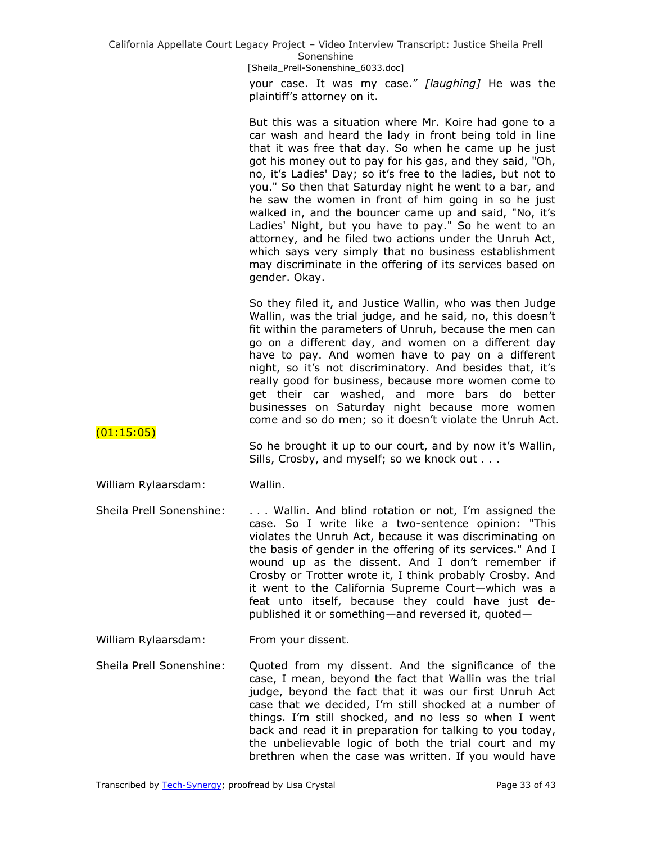> your case. It was my case.‖ *[laughing]* He was the plaintiff's attorney on it.

> But this was a situation where Mr. Koire had gone to a car wash and heard the lady in front being told in line that it was free that day. So when he came up he just got his money out to pay for his gas, and they said, "Oh, no, it's Ladies' Day; so it's free to the ladies, but not to you." So then that Saturday night he went to a bar, and he saw the women in front of him going in so he just walked in, and the bouncer came up and said, "No, it's Ladies' Night, but you have to pay." So he went to an attorney, and he filed two actions under the Unruh Act, which says very simply that no business establishment may discriminate in the offering of its services based on gender. Okay.

> So they filed it, and Justice Wallin, who was then Judge Wallin, was the trial judge, and he said, no, this doesn't fit within the parameters of Unruh, because the men can go on a different day, and women on a different day have to pay. And women have to pay on a different night, so it's not discriminatory. And besides that, it's really good for business, because more women come to get their car washed, and more bars do better businesses on Saturday night because more women come and so do men; so it doesn't violate the Unruh Act.

 $(01:15:05)$ 

So he brought it up to our court, and by now it's Wallin, Sills, Crosby, and myself; so we knock out . . .

# William Rylaarsdam: Wallin.

Sheila Prell Sonenshine: . . . Wallin. And blind rotation or not, I'm assigned the case. So I write like a two-sentence opinion: "This violates the Unruh Act, because it was discriminating on the basis of gender in the offering of its services." And I wound up as the dissent. And I don't remember if Crosby or Trotter wrote it, I think probably Crosby. And it went to the California Supreme Court—which was a feat unto itself, because they could have just depublished it or something—and reversed it, quoted—

William Rylaarsdam: From your dissent.

Sheila Prell Sonenshine: Quoted from my dissent. And the significance of the case, I mean, beyond the fact that Wallin was the trial judge, beyond the fact that it was our first Unruh Act case that we decided, I'm still shocked at a number of things. I'm still shocked, and no less so when I went back and read it in preparation for talking to you today, the unbelievable logic of both the trial court and my brethren when the case was written. If you would have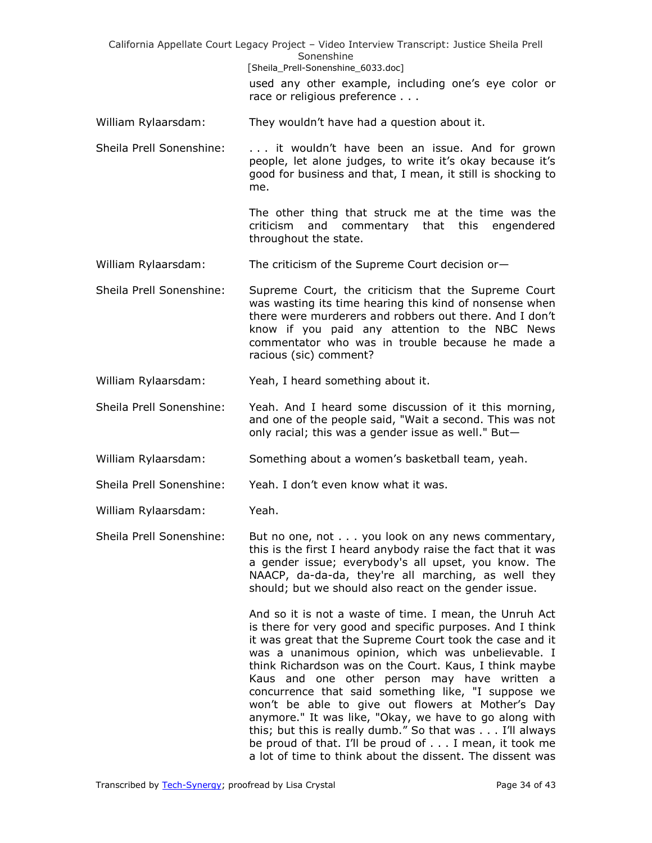California Appellate Court Legacy Project – Video Interview Transcript: Justice Sheila Prell Sonenshine [Sheila\_Prell-Sonenshine\_6033.doc] used any other example, including one's eye color or race or religious preference . . . William Rylaarsdam: They wouldn't have had a question about it. Sheila Prell Sonenshine: . . . it wouldn't have been an issue. And for grown people, let alone judges, to write it's okay because it's good for business and that, I mean, it still is shocking to me. The other thing that struck me at the time was the criticism and commentary that this engendered throughout the state. William Rylaarsdam: The criticism of the Supreme Court decision or-Sheila Prell Sonenshine: Supreme Court, the criticism that the Supreme Court was wasting its time hearing this kind of nonsense when there were murderers and robbers out there. And I don't know if you paid any attention to the NBC News commentator who was in trouble because he made a racious (sic) comment? William Rylaarsdam: Yeah, I heard something about it. Sheila Prell Sonenshine: Yeah. And I heard some discussion of it this morning, and one of the people said, "Wait a second. This was not only racial; this was a gender issue as well." But— William Rylaarsdam: Something about a women's basketball team, yeah. Sheila Prell Sonenshine: Yeah. I don't even know what it was. William Rylaarsdam: Yeah. Sheila Prell Sonenshine: But no one, not . . . you look on any news commentary, this is the first I heard anybody raise the fact that it was a gender issue; everybody's all upset, you know. The NAACP, da-da-da, they're all marching, as well they should; but we should also react on the gender issue. And so it is not a waste of time. I mean, the Unruh Act is there for very good and specific purposes. And I think it was great that the Supreme Court took the case and it was a unanimous opinion, which was unbelievable. I think Richardson was on the Court. Kaus, I think maybe Kaus and one other person may have written a concurrence that said something like, "I suppose we won't be able to give out flowers at Mother's Day anymore." It was like, "Okay, we have to go along with this; but this is really dumb." So that was . . . I'll always be proud of that. I'll be proud of . . . I mean, it took me a lot of time to think about the dissent. The dissent was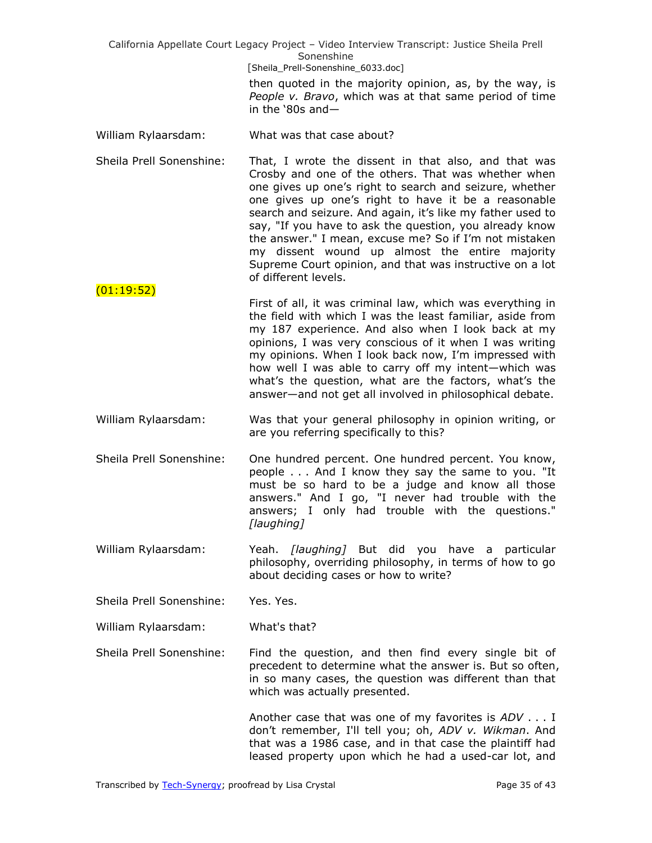> then quoted in the majority opinion, as, by the way, is *People v. Bravo*, which was at that same period of time in the  $80s$  and—

- William Rylaarsdam: What was that case about?
- Sheila Prell Sonenshine: That, I wrote the dissent in that also, and that was Crosby and one of the others. That was whether when one gives up one's right to search and seizure, whether one gives up one's right to have it be a reasonable search and seizure. And again, it's like my father used to say, "If you have to ask the question, you already know the answer." I mean, excuse me? So if I'm not mistaken my dissent wound up almost the entire majority Supreme Court opinion, and that was instructive on a lot of different levels.
- First of all, it was criminal law, which was everything in the field with which I was the least familiar, aside from my 187 experience. And also when I look back at my opinions, I was very conscious of it when I was writing my opinions. When I look back now, I'm impressed with how well I was able to carry off my intent—which was what's the question, what are the factors, what's the answer—and not get all involved in philosophical debate.
- William Rylaarsdam: Was that your general philosophy in opinion writing, or are you referring specifically to this?
- Sheila Prell Sonenshine: One hundred percent. One hundred percent. You know, people . . . And I know they say the same to you. "It must be so hard to be a judge and know all those answers." And I go, "I never had trouble with the answers; I only had trouble with the questions." *[laughing]*
- William Rylaarsdam: Yeah. *[laughing]* But did you have a particular philosophy, overriding philosophy, in terms of how to go about deciding cases or how to write?

Sheila Prell Sonenshine: Yes. Yes.

(01:19:52)

William Rylaarsdam: What's that?

Sheila Prell Sonenshine: Find the question, and then find every single bit of precedent to determine what the answer is. But so often, in so many cases, the question was different than that which was actually presented.

> Another case that was one of my favorites is *ADV* . . . I don't remember, I'll tell you; oh, *ADV v. Wikman*. And that was a 1986 case, and in that case the plaintiff had leased property upon which he had a used-car lot, and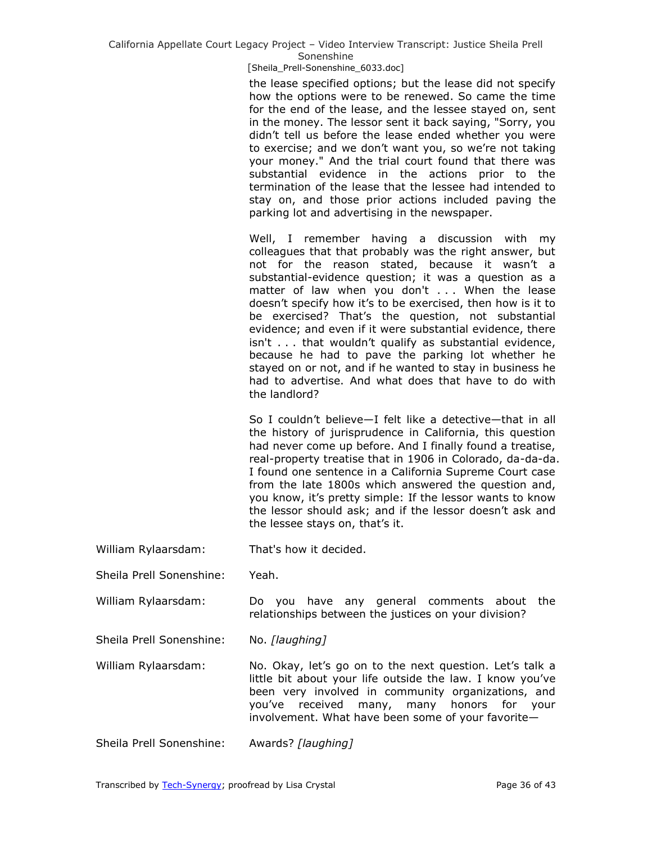[Sheila\_Prell-Sonenshine\_6033.doc]

the lease specified options; but the lease did not specify how the options were to be renewed. So came the time for the end of the lease, and the lessee stayed on, sent in the money. The lessor sent it back saying, "Sorry, you didn't tell us before the lease ended whether you were to exercise; and we don't want you, so we're not taking your money." And the trial court found that there was substantial evidence in the actions prior to the termination of the lease that the lessee had intended to stay on, and those prior actions included paving the parking lot and advertising in the newspaper.

Well, I remember having a discussion with my colleagues that that probably was the right answer, but not for the reason stated, because it wasn't a substantial-evidence question; it was a question as a matter of law when you don't . . . When the lease doesn't specify how it's to be exercised, then how is it to be exercised? That's the question, not substantial evidence; and even if it were substantial evidence, there isn't . . . that wouldn't qualify as substantial evidence, because he had to pave the parking lot whether he stayed on or not, and if he wanted to stay in business he had to advertise. And what does that have to do with the landlord?

So I couldn't believe—I felt like a detective—that in all the history of jurisprudence in California, this question had never come up before. And I finally found a treatise, real-property treatise that in 1906 in Colorado, da-da-da. I found one sentence in a California Supreme Court case from the late 1800s which answered the question and, you know, it's pretty simple: If the lessor wants to know the lessor should ask; and if the lessor doesn't ask and the lessee stays on, that's it.

William Rylaarsdam: That's how it decided.

Sheila Prell Sonenshine: Yeah.

William Rylaarsdam: Do you have any general comments about the relationships between the justices on your division?

Sheila Prell Sonenshine: No. *[laughing]*

William Rylaarsdam: No. Okay, let's go on to the next question. Let's talk a little bit about your life outside the law. I know you've been very involved in community organizations, and you've received many, many honors for your involvement. What have been some of your favorite—

Sheila Prell Sonenshine: Awards? *[laughing]*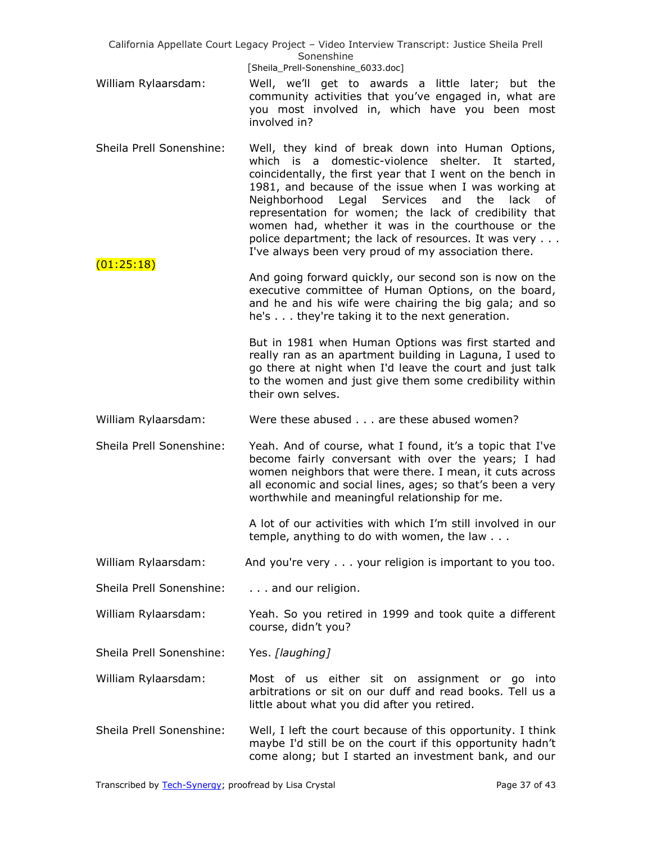- William Rylaarsdam: Well, we'll get to awards a little later; but the community activities that you've engaged in, what are you most involved in, which have you been most involved in?
- Sheila Prell Sonenshine: Well, they kind of break down into Human Options, which is a domestic-violence shelter. It started, coincidentally, the first year that I went on the bench in 1981, and because of the issue when I was working at Neighborhood Legal Services and the lack of representation for women; the lack of credibility that women had, whether it was in the courthouse or the police department; the lack of resources. It was very . . . I've always been very proud of my association there.  $(01:25:18)$
- And going forward quickly, our second son is now on the executive committee of Human Options, on the board, and he and his wife were chairing the big gala; and so he's . . . they're taking it to the next generation.

But in 1981 when Human Options was first started and really ran as an apartment building in Laguna, I used to go there at night when I'd leave the court and just talk to the women and just give them some credibility within their own selves.

William Rylaarsdam: Were these abused . . . are these abused women?

Sheila Prell Sonenshine: Yeah. And of course, what I found, it's a topic that I've become fairly conversant with over the years; I had women neighbors that were there. I mean, it cuts across all economic and social lines, ages; so that's been a very worthwhile and meaningful relationship for me.

> A lot of our activities with which I'm still involved in our temple, anything to do with women, the law . . .

William Rylaarsdam: And you're very . . . your religion is important to you too.

- Sheila Prell Sonenshine: . . . . and our religion.
- William Rylaarsdam: Yeah. So you retired in 1999 and took quite a different course, didn't you?
- Sheila Prell Sonenshine: Yes. *[laughing]*
- William Rylaarsdam: Most of us either sit on assignment or go into arbitrations or sit on our duff and read books. Tell us a little about what you did after you retired.
- Sheila Prell Sonenshine: Well, I left the court because of this opportunity. I think maybe I'd still be on the court if this opportunity hadn't come along; but I started an investment bank, and our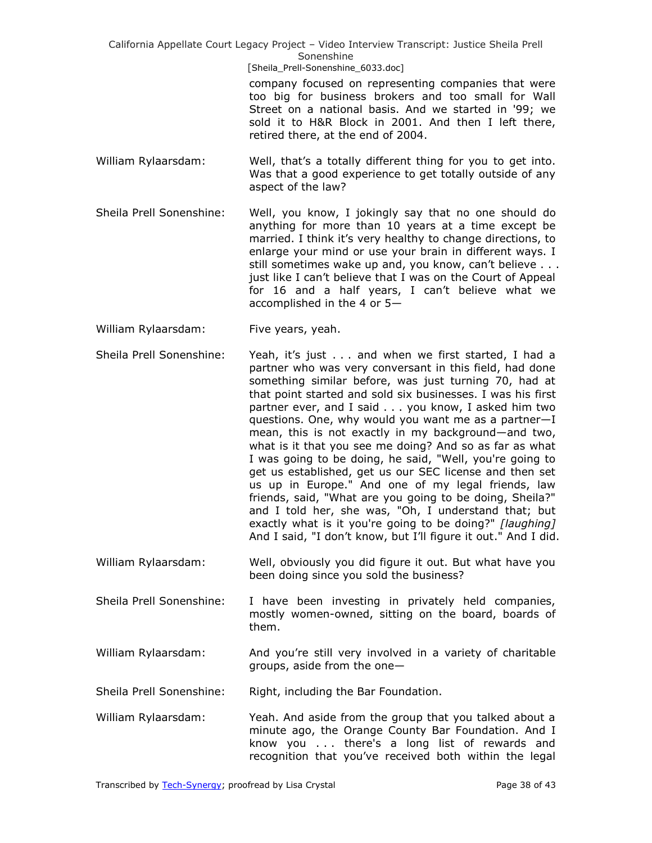> company focused on representing companies that were too big for business brokers and too small for Wall Street on a national basis. And we started in '99; we sold it to H&R Block in 2001. And then I left there, retired there, at the end of 2004.

- William Rylaarsdam: Well, that's a totally different thing for you to get into. Was that a good experience to get totally outside of any aspect of the law?
- Sheila Prell Sonenshine: Well, you know, I jokingly say that no one should do anything for more than 10 years at a time except be married. I think it's very healthy to change directions, to enlarge your mind or use your brain in different ways. I still sometimes wake up and, you know, can't believe . . . just like I can't believe that I was on the Court of Appeal for 16 and a half years, I can't believe what we accomplished in the 4 or 5—
- William Rylaarsdam: Five years, yeah.

Sheila Prell Sonenshine: Yeah, it's just . . . and when we first started, I had a partner who was very conversant in this field, had done something similar before, was just turning 70, had at that point started and sold six businesses. I was his first partner ever, and I said . . . you know, I asked him two questions. One, why would you want me as a partner—I mean, this is not exactly in my background—and two, what is it that you see me doing? And so as far as what I was going to be doing, he said, "Well, you're going to get us established, get us our SEC license and then set us up in Europe." And one of my legal friends, law friends, said, "What are you going to be doing, Sheila?" and I told her, she was, "Oh, I understand that; but exactly what is it you're going to be doing?" *[laughing]* And I said, "I don't know, but I'll figure it out." And I did.

- William Rylaarsdam: Well, obviously you did figure it out. But what have you been doing since you sold the business?
- Sheila Prell Sonenshine: I have been investing in privately held companies, mostly women-owned, sitting on the board, boards of them.
- William Rylaarsdam: And you're still very involved in a variety of charitable groups, aside from the one—

Sheila Prell Sonenshine: Right, including the Bar Foundation.

William Rylaarsdam: Yeah. And aside from the group that you talked about a minute ago, the Orange County Bar Foundation. And I know you . . . there's a long list of rewards and recognition that you've received both within the legal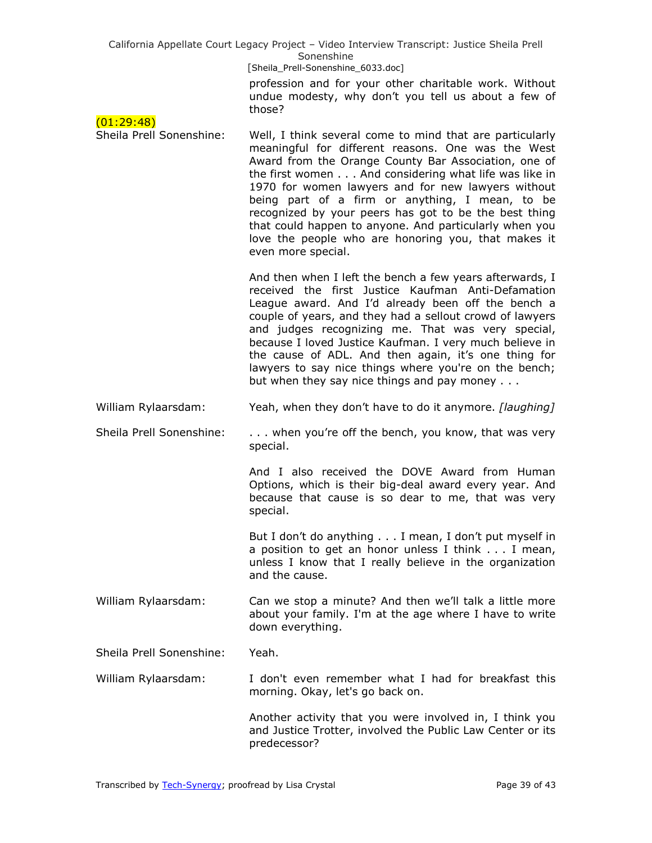[Sheila\_Prell-Sonenshine\_6033.doc]

profession and for your other charitable work. Without undue modesty, why don't you tell us about a few of those?

| (01:29:48)               | ぃぃつこ                                                                                                                                                                                                                                                                                                                                                                                                                                                                                                                                     |
|--------------------------|------------------------------------------------------------------------------------------------------------------------------------------------------------------------------------------------------------------------------------------------------------------------------------------------------------------------------------------------------------------------------------------------------------------------------------------------------------------------------------------------------------------------------------------|
| Sheila Prell Sonenshine: | Well, I think several come to mind that are particularly<br>meaningful for different reasons. One was the West<br>Award from the Orange County Bar Association, one of<br>the first women And considering what life was like in<br>1970 for women lawyers and for new lawyers without<br>being part of a firm or anything, I mean, to be<br>recognized by your peers has got to be the best thing<br>that could happen to anyone. And particularly when you<br>love the people who are honoring you, that makes it<br>even more special. |
|                          | And then when I left the bench a few years afterwards, I<br>received the first Justice Kaufman Anti-Defamation<br>League award. And I'd already been off the bench a<br>couple of years, and they had a sellout crowd of lawyers<br>and judges recognizing me. That was very special,<br>because I loved Justice Kaufman. I very much believe in<br>the cause of ADL. And then again, it's one thing for<br>lawyers to say nice things where you're on the bench;<br>but when they say nice things and pay money                         |
| William Rylaarsdam:      | Yeah, when they don't have to do it anymore. [laughing]                                                                                                                                                                                                                                                                                                                                                                                                                                                                                  |
| Sheila Prell Sonenshine: | when you're off the bench, you know, that was very<br>special.                                                                                                                                                                                                                                                                                                                                                                                                                                                                           |
|                          | And I also received the DOVE Award from Human<br>Options, which is their big-deal award every year. And<br>because that cause is so dear to me, that was very<br>special.                                                                                                                                                                                                                                                                                                                                                                |
|                          | But I don't do anything I mean, I don't put myself in<br>a position to get an honor unless I think I mean,<br>unless I know that I really believe in the organization<br>and the cause.                                                                                                                                                                                                                                                                                                                                                  |
| William Rylaarsdam:      | Can we stop a minute? And then we'll talk a little more<br>about your family. I'm at the age where I have to write<br>down everything.                                                                                                                                                                                                                                                                                                                                                                                                   |
| Sheila Prell Sonenshine: | Yeah.                                                                                                                                                                                                                                                                                                                                                                                                                                                                                                                                    |
| William Rylaarsdam:      | I don't even remember what I had for breakfast this<br>morning. Okay, let's go back on.                                                                                                                                                                                                                                                                                                                                                                                                                                                  |
|                          | Another activity that you were involved in, I think you<br>and Justice Trotter, involved the Public Law Center or its<br>predecessor?                                                                                                                                                                                                                                                                                                                                                                                                    |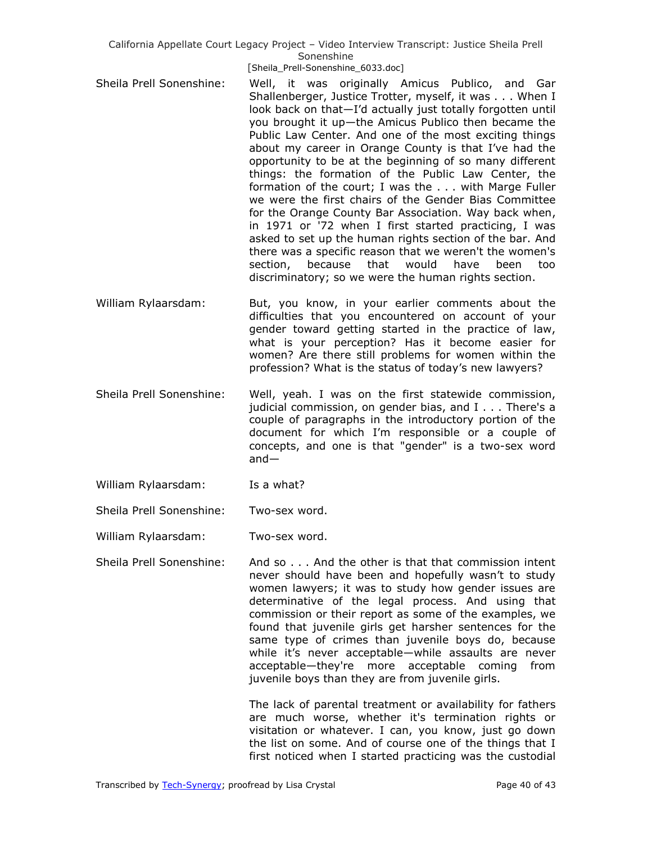- Sheila Prell Sonenshine: Well, it was originally Amicus Publico, and Gar Shallenberger, Justice Trotter, myself, it was . . . When I look back on that—I'd actually just totally forgotten until you brought it up—the Amicus Publico then became the Public Law Center. And one of the most exciting things about my career in Orange County is that I've had the opportunity to be at the beginning of so many different things: the formation of the Public Law Center, the formation of the court; I was the . . . with Marge Fuller we were the first chairs of the Gender Bias Committee for the Orange County Bar Association. Way back when, in 1971 or '72 when I first started practicing, I was asked to set up the human rights section of the bar. And there was a specific reason that we weren't the women's section, because that would have been too discriminatory; so we were the human rights section.
- William Rylaarsdam: But, you know, in your earlier comments about the difficulties that you encountered on account of your gender toward getting started in the practice of law, what is your perception? Has it become easier for women? Are there still problems for women within the profession? What is the status of today's new lawyers?
- Sheila Prell Sonenshine: Well, yeah. I was on the first statewide commission, judicial commission, on gender bias, and I . . . There's a couple of paragraphs in the introductory portion of the document for which I'm responsible or a couple of concepts, and one is that "gender" is a two-sex word and—
- William Rylaarsdam: Is a what?
- Sheila Prell Sonenshine: Two-sex word.
- William Rylaarsdam: Two-sex word.
- Sheila Prell Sonenshine: And so . . . And the other is that that commission intent never should have been and hopefully wasn't to study women lawyers; it was to study how gender issues are determinative of the legal process. And using that commission or their report as some of the examples, we found that juvenile girls get harsher sentences for the same type of crimes than juvenile boys do, because while it's never acceptable—while assaults are never acceptable—they're more acceptable coming from juvenile boys than they are from juvenile girls.

The lack of parental treatment or availability for fathers are much worse, whether it's termination rights or visitation or whatever. I can, you know, just go down the list on some. And of course one of the things that I first noticed when I started practicing was the custodial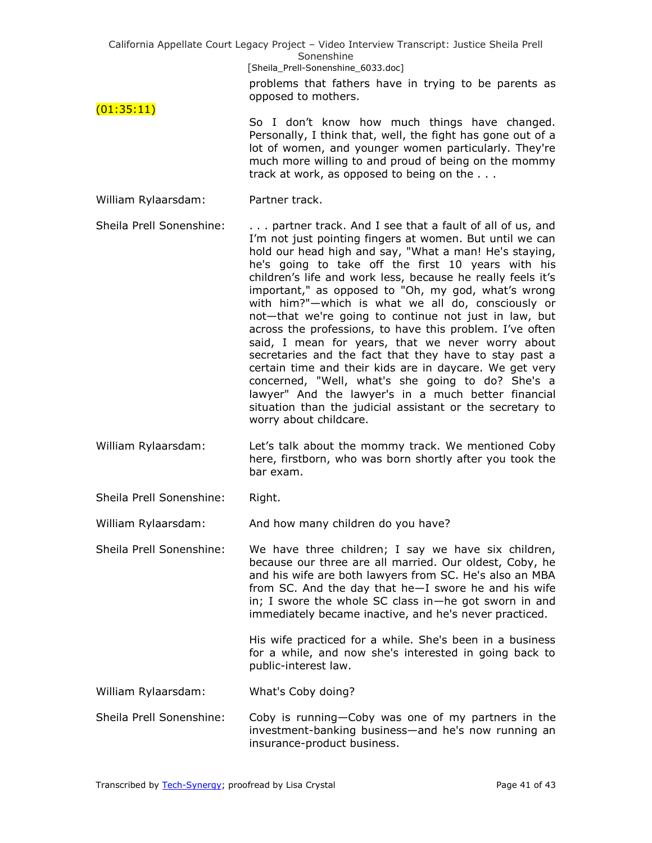California Appellate Court Legacy Project – Video Interview Transcript: Justice Sheila Prell Sonenshine [Sheila\_Prell-Sonenshine\_6033.doc] problems that fathers have in trying to be parents as opposed to mothers. (01:35:11) So I don't know how much things have changed. Personally, I think that, well, the fight has gone out of a lot of women, and younger women particularly. They're much more willing to and proud of being on the mommy track at work, as opposed to being on the . . . William Rylaarsdam: Partner track. Sheila Prell Sonenshine: . . . . partner track. And I see that a fault of all of us, and I'm not just pointing fingers at women. But until we can hold our head high and say, "What a man! He's staying, he's going to take off the first 10 years with his children's life and work less, because he really feels it's important," as opposed to "Oh, my god, what's wrong with him?"—which is what we all do, consciously or not—that we're going to continue not just in law, but across the professions, to have this problem. I've often said, I mean for years, that we never worry about secretaries and the fact that they have to stay past a certain time and their kids are in daycare. We get very concerned, "Well, what's she going to do? She's a lawyer" And the lawyer's in a much better financial situation than the judicial assistant or the secretary to worry about childcare. William Rylaarsdam: Let's talk about the mommy track. We mentioned Coby here, firstborn, who was born shortly after you took the bar exam. Sheila Prell Sonenshine: Right. William Rylaarsdam: And how many children do you have? Sheila Prell Sonenshine: We have three children; I say we have six children, because our three are all married. Our oldest, Coby, he

and his wife are both lawyers from SC. He's also an MBA from SC. And the day that he—I swore he and his wife in; I swore the whole SC class in—he got sworn in and immediately became inactive, and he's never practiced.

> His wife practiced for a while. She's been in a business for a while, and now she's interested in going back to public-interest law.

William Rylaarsdam: What's Coby doing?

Sheila Prell Sonenshine: Coby is running—Coby was one of my partners in the investment-banking business—and he's now running an insurance-product business.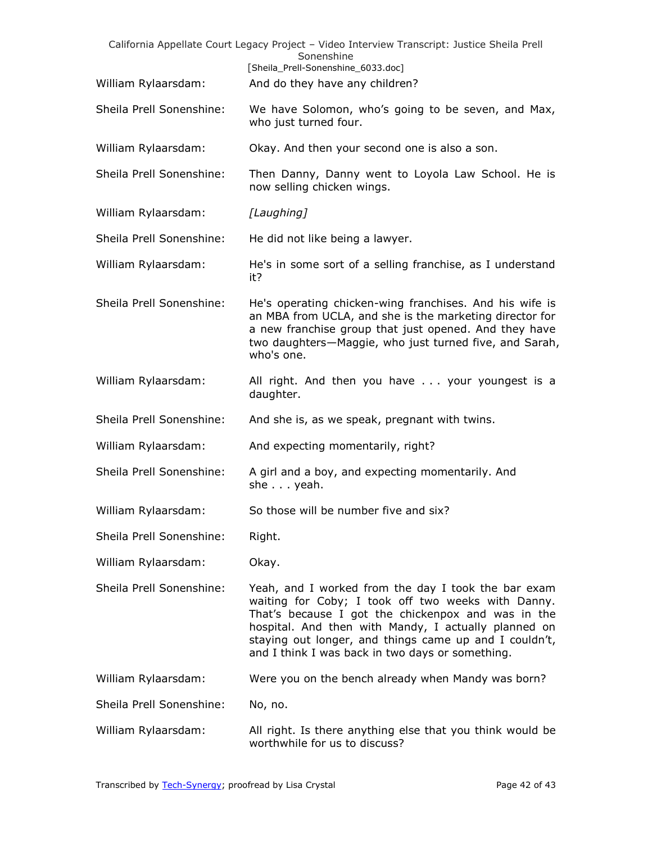|                          | California Appellate Court Legacy Project - Video Interview Transcript: Justice Sheila Prell<br>Sonenshine                                                                                                                                                                                                                            |
|--------------------------|---------------------------------------------------------------------------------------------------------------------------------------------------------------------------------------------------------------------------------------------------------------------------------------------------------------------------------------|
|                          | [Sheila_Prell-Sonenshine_6033.doc]                                                                                                                                                                                                                                                                                                    |
| William Rylaarsdam:      | And do they have any children?                                                                                                                                                                                                                                                                                                        |
| Sheila Prell Sonenshine: | We have Solomon, who's going to be seven, and Max,<br>who just turned four.                                                                                                                                                                                                                                                           |
| William Rylaarsdam:      | Okay. And then your second one is also a son.                                                                                                                                                                                                                                                                                         |
| Sheila Prell Sonenshine: | Then Danny, Danny went to Loyola Law School. He is<br>now selling chicken wings.                                                                                                                                                                                                                                                      |
| William Rylaarsdam:      | [Laughing]                                                                                                                                                                                                                                                                                                                            |
| Sheila Prell Sonenshine: | He did not like being a lawyer.                                                                                                                                                                                                                                                                                                       |
| William Rylaarsdam:      | He's in some sort of a selling franchise, as I understand<br>it?                                                                                                                                                                                                                                                                      |
| Sheila Prell Sonenshine: | He's operating chicken-wing franchises. And his wife is<br>an MBA from UCLA, and she is the marketing director for<br>a new franchise group that just opened. And they have<br>two daughters-Maggie, who just turned five, and Sarah,<br>who's one.                                                                                   |
| William Rylaarsdam:      | All right. And then you have your youngest is a<br>daughter.                                                                                                                                                                                                                                                                          |
| Sheila Prell Sonenshine: | And she is, as we speak, pregnant with twins.                                                                                                                                                                                                                                                                                         |
| William Rylaarsdam:      | And expecting momentarily, right?                                                                                                                                                                                                                                                                                                     |
| Sheila Prell Sonenshine: | A girl and a boy, and expecting momentarily. And<br>she $\ldots$ yeah.                                                                                                                                                                                                                                                                |
| William Rylaarsdam:      | So those will be number five and six?                                                                                                                                                                                                                                                                                                 |
| Sheila Prell Sonenshine: | Right.                                                                                                                                                                                                                                                                                                                                |
| William Rylaarsdam:      | Okay.                                                                                                                                                                                                                                                                                                                                 |
| Sheila Prell Sonenshine: | Yeah, and I worked from the day I took the bar exam<br>waiting for Coby; I took off two weeks with Danny.<br>That's because I got the chickenpox and was in the<br>hospital. And then with Mandy, I actually planned on<br>staying out longer, and things came up and I couldn't,<br>and I think I was back in two days or something. |
| William Rylaarsdam:      | Were you on the bench already when Mandy was born?                                                                                                                                                                                                                                                                                    |
| Sheila Prell Sonenshine: | No, no.                                                                                                                                                                                                                                                                                                                               |
| William Rylaarsdam:      | All right. Is there anything else that you think would be<br>worthwhile for us to discuss?                                                                                                                                                                                                                                            |